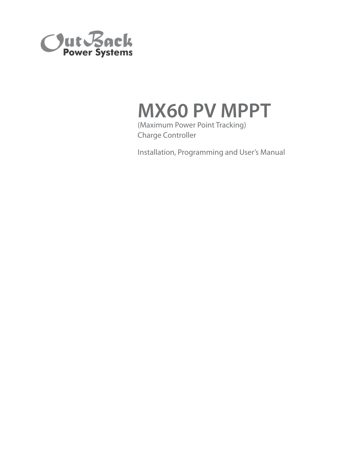

# **MX60 PV MPPT**

(Maximum Power Point Tracking) Charge Controller

Installation, Programming and User's Manual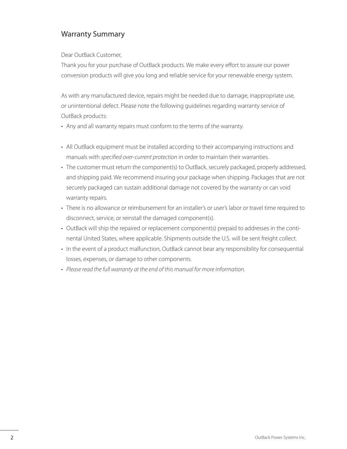# Warranty Summary

Dear OutBack Customer,

Thank you for your purchase of OutBack products. We make every effort to assure our power conversion products will give you long and reliable service for your renewable energy system.

As with any manufactured device, repairs might be needed due to damage, inappropriate use, or unintentional defect. Please note the following guidelines regarding warranty service of OutBack products:

- Any and all warranty repairs must conform to the terms of the warranty.
- All OutBack equipment must be installed according to their accompanying instructions and manuals with specified over-current protection in order to maintain their warranties.
- The customer must return the component(s) to OutBack, securely packaged, properly addressed, and shipping paid. We recommend insuring your package when shipping. Packages that are not securely packaged can sustain additional damage not covered by the warranty or can void warranty repairs.
- There is no allowance or reimbursement for an installer's or user's labor or travel time required to disconnect, service, or reinstall the damaged component(s).
- OutBack will ship the repaired or replacement component(s) prepaid to addresses in the continental United States, where applicable. Shipments outside the U.S. will be sent freight collect.
- In the event of a product malfunction, OutBack cannot bear any responsibility for consequential losses, expenses, or damage to other components.
- Please read the full warranty at the end of this manual for more information.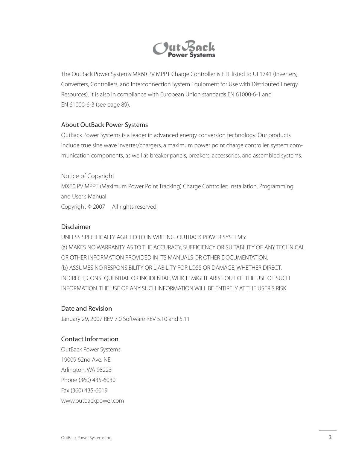

The OutBack Power Systems MX60 PV MPPT Charge Controller is ETL listed to UL1741 (Inverters, Converters, Controllers, and Interconnection System Equipment for Use with Distributed Energy Resources). It is also in compliance with European Union standards EN 61000-6-1 and EN 61000-6-3 (see page 89).

## About OutBack Power Systems

OutBack Power Systems is a leader in advanced energy conversion technology. Our products include true sine wave inverter/chargers, a maximum power point charge controller, system communication components, as well as breaker panels, breakers, accessories, and assembled systems.

#### Notice of Copyright

MX60 PV MPPT (Maximum Power Point Tracking) Charge Controller: Installation, Programming and User's Manual Copyright © 2007 All rights reserved.

#### Disclaimer

UNLESS SPECIFICALLY AGREED TO IN WRITING, OUTBACK POWER SYSTEMS: (a) MAKES NO WARRANTY AS TO THE ACCURACY, SUFFICIENCY OR SUITABILITY OF ANY TECHNICAL OR OTHER INFORMATION PROVIDED IN ITS MANUALS OR OTHER DOCUMENTATION. (b) ASSUMES NO RESPONSIBILITY OR LIABILITY FOR LOSS OR DAMAGE, WHETHER DIRECT, INDIRECT, CONSEQUENTIAL OR INCIDENTAL, WHICH MIGHT ARISE OUT OF THE USE OF SUCH INFORMATION. THE USE OF ANY SUCH INFORMATION WILL BE ENTIRELY AT THE USER'S RISK.

## Date and Revision

January 29, 2007 REV 7.0 Software REV 5.10 and 5.11

#### Contact Information

OutBack Power Systems 19009 62nd Ave. NE Arlington, WA 98223 Phone (360) 435-6030 Fax (360) 435-6019 www.outbackpower.com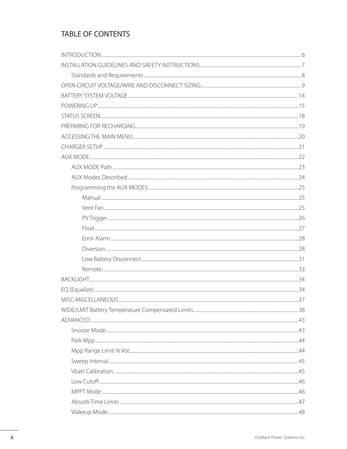# TABLE OF CONTENTS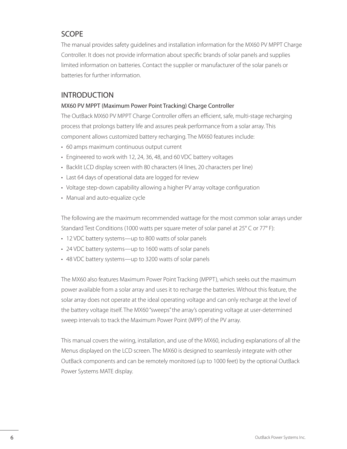# SCOPE

The manual provides safety guidelines and installation information for the MX60 PV MPPT Charge Controller. It does not provide information about specific brands of solar panels and supplies limited information on batteries. Contact the supplier or manufacturer of the solar panels or batteries for further information.

## INTRODUCTION

## MX60 PV MPPT (Maximum Power Point Tracking) Charge Controller

The OutBack MX60 PV MPPT Charge Controller offers an efficient, safe, multi-stage recharging process that prolongs battery life and assures peak performance from a solar array. This component allows customized battery recharging. The MX60 features include:

- 60 amps maximum continuous output current
- Engineered to work with 12, 24, 36, 48, and 60 VDC battery voltages
- Backlit LCD display screen with 80 characters (4 lines, 20 characters per line)
- Last 64 days of operational data are logged for review
- Voltage step-down capability allowing a higher PV array voltage configuration
- Manual and auto-equalize cycle

The following are the maximum recommended wattage for the most common solar arrays under Standard Test Conditions (1000 watts per square meter of solar panel at 25° C or 77° F):

- 12 VDC battery systems—up to 800 watts of solar panels
- 24 VDC battery systems—up to 1600 watts of solar panels
- 48 VDC battery systems—up to 3200 watts of solar panels

The MX60 also features Maximum Power Point Tracking (MPPT), which seeks out the maximum power available from a solar array and uses it to recharge the batteries. Without this feature, the solar array does not operate at the ideal operating voltage and can only recharge at the level of the battery voltage itself. The MX60 "sweeps" the array's operating voltage at user-determined sweep intervals to track the Maximum Power Point (MPP) of the PV array.

This manual covers the wiring, installation, and use of the MX60, including explanations of all the Menus displayed on the LCD screen. The MX60 is designed to seamlessly integrate with other OutBack components and can be remotely monitored (up to 1000 feet) by the optional OutBack Power Systems MATE display.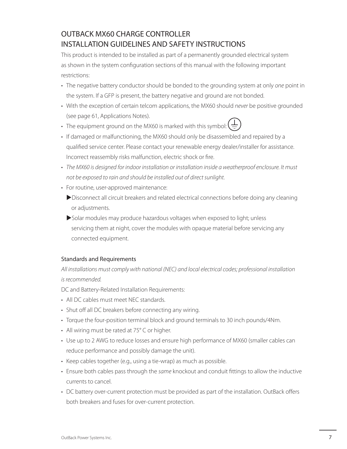# OUTBACK MX60 CHARGE CONTROLLER INSTALLATION GUIDELINES AND SAFETY INSTRUCTIONS

This product is intended to be installed as part of a permanently grounded electrical system as shown in the system configuration sections of this manual with the following important restrictions:

- The negative battery conductor should be bonded to the grounding system at only one point in the system. If a GFP is present, the battery negative and ground are not bonded.
- With the exception of certain telcom applications, the MX60 should never be positive grounded (see page 61, Applications Notes).
- The equipment ground on the MX60 is marked with this symbol:  $\left(\frac{1}{n}\right)$
- If damaged or malfunctioning, the MX60 should only be disassembled and repaired by a qualified service center. Please contact your renewable energy dealer/installer for assistance. Incorrect reassembly risks malfunction, electric shock or fire.
- The MX60 is designed for indoor installation or installation inside a weatherproof enclosure. It must not be exposed to rain and should be installed out of direct sunlight.
- For routine, user-approved maintenance:
	- Disconnect all circuit breakers and related electrical connections before doing any cleaning or adjustments.
	- Solar modules may produce hazardous voltages when exposed to light; unless servicing them at night, cover the modules with opaque material before servicing any connected equipment.

## Standards and Requirements

All installations must comply with national (NEC) and local electrical codes; professional installation is recommended.

DC and Battery-Related Installation Requirements:

- All DC cables must meet NEC standards.
- Shut off all DC breakers before connecting any wiring.
- Torque the four-position terminal block and ground terminals to 30 inch pounds/4Nm.
- All wiring must be rated at 75° C or higher.
- Use up to 2 AWG to reduce losses and ensure high performance of MX60 (smaller cables can reduce performance and possibly damage the unit).
- Keep cables together (e.g., using a tie-wrap) as much as possible.
- Ensure both cables pass through the same knockout and conduit fittings to allow the inductive currents to cancel.
- DC battery over-current protection must be provided as part of the installation. OutBack offers both breakers and fuses for over-current protection.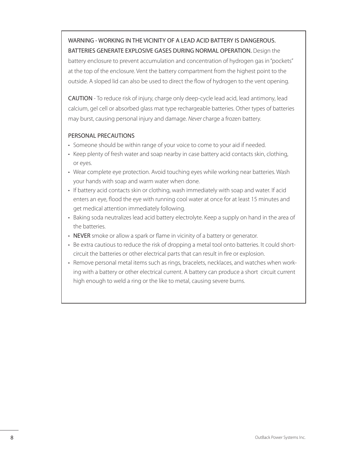# WARNING - WORKING IN THE VICINITY OF A LEAD ACID BATTERY IS DANGEROUS. BATTERIES GENERATE EXPLOSIVE GASES DURING NORMAL OPERATION. Design the

battery enclosure to prevent accumulation and concentration of hydrogen gas in "pockets" at the top of the enclosure. Vent the battery compartment from the highest point to the outside. A sloped lid can also be used to direct the flow of hydrogen to the vent opening.

CAUTION - To reduce risk of injury, charge only deep-cycle lead acid, lead antimony, lead calcium, gel cell or absorbed glass mat type rechargeable batteries. Other types of batteries may burst, causing personal injury and damage. Never charge a frozen battery.

#### PERSONAL PRECAUTIONS

- Someone should be within range of your voice to come to your aid if needed.
- Keep plenty of fresh water and soap nearby in case battery acid contacts skin, clothing, or eyes.
- Wear complete eye protection. Avoid touching eyes while working near batteries. Wash your hands with soap and warm water when done.
- If battery acid contacts skin or clothing, wash immediately with soap and water. If acid enters an eye, flood the eye with running cool water at once for at least 15 minutes and get medical attention immediately following.
- Baking soda neutralizes lead acid battery electrolyte. Keep a supply on hand in the area of the batteries.
- NEVER smoke or allow a spark or flame in vicinity of a battery or generator.
- Be extra cautious to reduce the risk of dropping a metal tool onto batteries. It could shortcircuit the batteries or other electrical parts that can result in fire or explosion.
- Remove personal metal items such as rings, bracelets, necklaces, and watches when working with a battery or other electrical current. A battery can produce a short circuit current high enough to weld a ring or the like to metal, causing severe burns.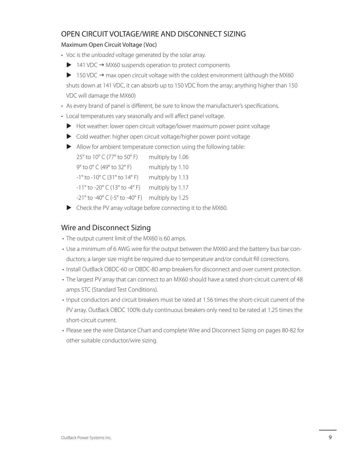# OPEN CIRCUIT VOLTAGE/WIRE AND DISCONNECT SIZING

## Maximum Open Circuit Voltage (Voc)

- Voc is the unloaded voltage generated by the solar array.
	- $\triangleright$  141 VDC  $\rightarrow$  MX60 suspends operation to protect components

 $\triangleright$  150 VDC  $\rightarrow$  max open circuit voltage with the coldest environment (although the MX60 shuts down at 141 VDC, it can absorb up to 150 VDC from the array; anything higher than 150 VDC will damage the MX60)

- As every brand of panel is different, be sure to know the manufacturer's specifications.
- Local temperatures vary seasonally and will affect panel voltage.
	- X Hot weather: lower open circuit voltage/lower maximum power point voltage
	- $\triangleright$  Cold weather: higher open circuit voltage/higher power point voltage
	- $\blacktriangleright$  Allow for ambient temperature correction using the following table:

 $25^{\circ}$  to 10 $^{\circ}$  C (77 $^{\circ}$  to 50 $^{\circ}$  F) multiply by 1.06

- $9^{\circ}$  to  $0^{\circ}$  C (49 $^{\circ}$  to 32 $^{\circ}$  F) multiply by 1.10
- $-1^\circ$  to  $-10^\circ$  C (31 $^\circ$  to 14 $^\circ$  F) multiply by 1.13
- $-11^\circ$  to  $-20^\circ$  C (13 $^\circ$  to  $-4^\circ$  F) multiply by 1.17
- $-21^{\circ}$  to  $-40^{\circ}$  C ( $-5^{\circ}$  to  $-40^{\circ}$  F) multiply by 1.25
- $\blacktriangleright$  Check the PV array voltage before connecting it to the MX60.

## Wire and Disconnect Sizing

- The output current limit of the MX60 is 60 amps.
- Use a minimum of 6 AWG wire for the output between the MX60 and the batterry bus bar conductors; a larger size might be required due to temperature and/or conduit fill corrections.
- Install OutBack OBDC-60 or OBDC-80 amp breakers for disconnect and over current protection.
- The largest PV array that can connect to an MX60 should have a rated short-circuit current of 48 amps STC (Standard Test Conditions).
- Input conductors and circuit breakers must be rated at 1.56 times the short-circuit current of the PV array. OutBack OBDC 100% duty continuous breakers only need to be rated at 1.25 times the short-circuit current.
- Please see the wire Distance Chart and complete Wire and Disconnect Sizing on pages 80-82 for other suitable conductor/wire sizing.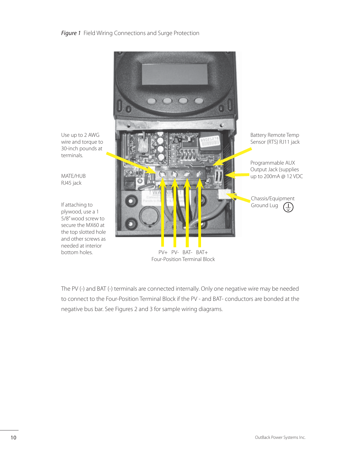

The PV (-) and BAT (-) terminals are connected internally. Only one negative wire may be needed to connect to the Four-Position Terminal Block if the PV - and BAT- conductors are bonded at the negative bus bar. See Figures 2 and 3 for sample wiring diagrams.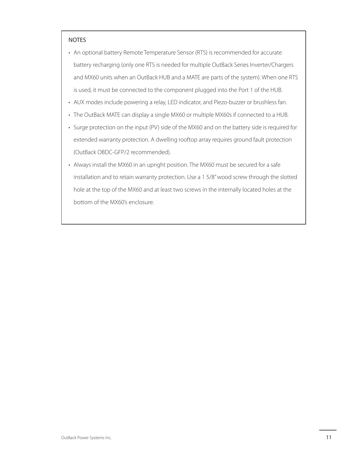#### NOTES

- An optional battery Remote Temperature Sensor (RTS) is recommended for accurate battery recharging (only one RTS is needed for multiple OutBack Series Inverter/Chargers and MX60 units when an OutBack HUB and a MATE are parts of the system). When one RTS is used, it must be connected to the component plugged into the Port 1 of the HUB.
- AUX modes include powering a relay, LED indicator, and Piezo-buzzer or brushless fan.
- The OutBack MATE can display a single MX60 or multiple MX60s if connected to a HUB.
- Surge protection on the input (PV) side of the MX60 and on the battery side is required for extended warranty protection. A dwelling rooftop array requires ground fault protection (OutBack OBDC-GFP/2 recommended).
- Always install the MX60 in an upright position. The MX60 must be secured for a safe installation and to retain warranty protection. Use a 1 5/8" wood screw through the slotted hole at the top of the MX60 and at least two screws in the internally located holes at the bottom of the MX60's enclosure.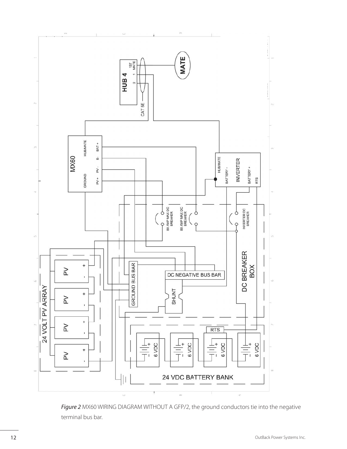

Figure 2 MX60 WIRING DIAGRAM WITHOUT A GFP/2, the ground conductors tie into the negative terminal bus bar.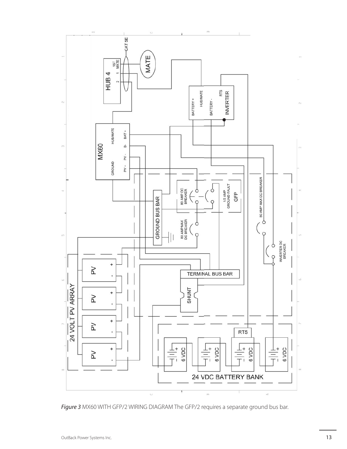

Figure 3 MX60 WITH GFP/2 WIRING DIAGRAM The GFP/2 requires a separate ground bus bar.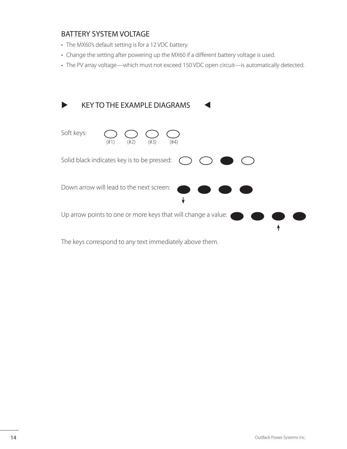## BATTERY SYSTEM VOLTAGE

- The MX60's default setting is for a 12 VDC battery.
- Change the setting after powering up the MX60 if a different battery voltage is used.
- The PV array voltage—which must not exceed 150 VDC open circuit—is automatically detected.

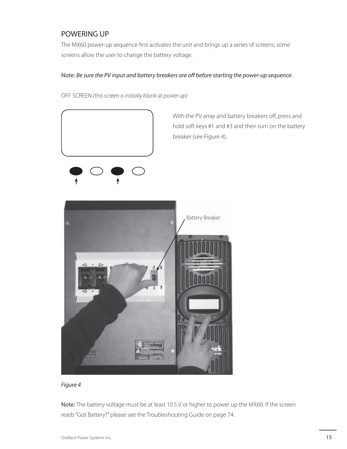# POWERING UP

The MX60 power-up sequence first activates the unit and brings up a series of screens; some screens allow the user to change the battery voltage.

## Note: Be sure the PV input and battery breakers are off before starting the power-up sequence.

OFF SCREEN (this screen is initially blank at power up)



With the PV array and battery breakers off, press and hold soft keys #1 and #3 and then turn on the battery breaker (see Figure 4).





Note: The battery voltage must be at least 10.5 V or higher to power up the MX60. If the screen reads "Got Battery?" please see the Troubleshooting Guide on page 74.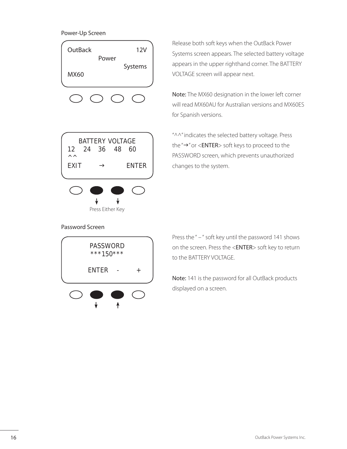#### Power-Up Screen









Release both soft keys when the OutBack Power Systems screen appears. The selected battery voltage appears in the upper righthand corner. The BATTERY VOLTAGE screen will appear next.

Note: The MX60 designation in the lower left corner will read MX60AU for Australian versions and MX60ES for Spanish versions.

"^^" indicates the selected battery voltage. Press the " $\rightarrow$ " or <**ENTER**> soft keys to proceed to the PASSWORD screen, which prevents unauthorized changes to the system.

## Password Screen



Press the " – " soft key until the password 141 shows on the screen. Press the <ENTER> soft key to return to the BATTERY VOLTAGE.

Note: 141 is the password for all OutBack products displayed on a screen.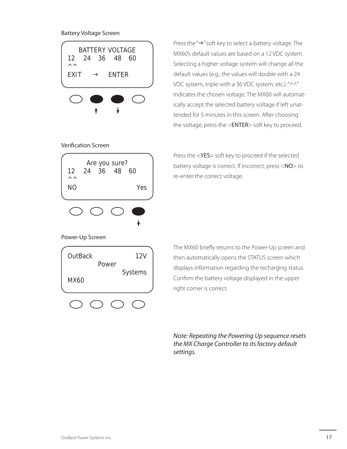#### Battery Voltage Screen



#### **Verification Screen**



Press the " $\rightarrow$ " soft key to select a battery voltage. The MX60's default values are based on a 12 VDC system. Selecting a higher voltage system will change all the default values (e.g., the values will double with a 24 VDC system, triple with a 36 VDC system, etc.). "^^" indicates the chosen voltage. The MX60 will automatically accept the selected battery voltage if left unattended for 5 minutes in this screen. After choosing the voltage, press the <**ENTER**> soft key to proceed.

Press the <YES> soft key to proceed if the selected battery voltage is correct. If incorrect, press <NO> to re-enter the correct voltage.

Power-Up Screen



The MX60 briefly returns to the Power-Up screen and then automatically opens the STATUS screen which displays information regarding the recharging status. Confirm the battery voltage displayed in the upper right corner is correct.

Note: Repeating the Powering Up sequence resets the MX Charge Controller to its factory default settings.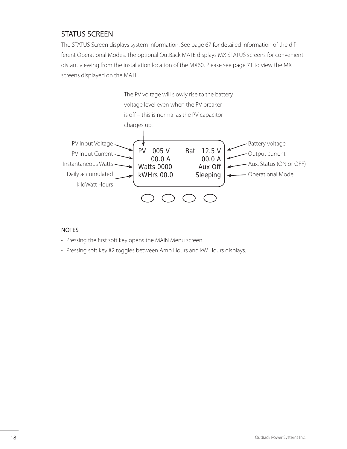# STATUS SCREEN

The STATUS Screen displays system information. See page 67 for detailed information of the different Operational Modes. The optional OutBack MATE displays MX STATUS screens for convenient distant viewing from the installation location of the MX60. Please see page 71 to view the MX screens displayed on the MATE.



## **NOTES**

- Pressing the first soft key opens the MAIN Menu screen.
- Pressing soft key #2 toggles between Amp Hours and kW Hours displays.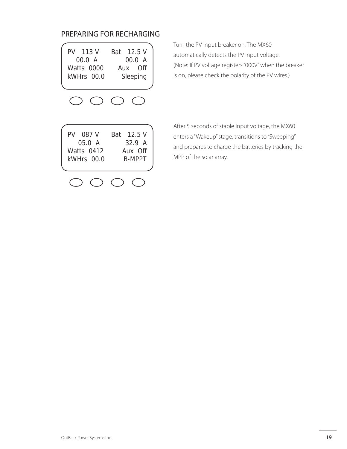## PREPARING FOR RECHARGING



Turn the PV input breaker on. The MX60 automatically detects the PV input voltage. (Note: If PV voltage registers "000V" when the breaker is on, please check the polarity of the PV wires.)

After 5 seconds of stable input voltage, the MX60 enters a "Wakeup" stage, transitions to "Sweeping" and prepares to charge the batteries by tracking the MPP of the solar array.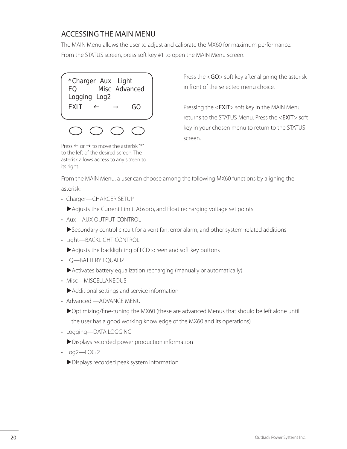# ACCESSING THE MAIN MENU

The MAIN Menu allows the user to adjust and calibrate the MX60 for maximum performance. From the STATUS screen, press soft key #1 to open the MAIN Menu screen.



Press  $\leftarrow$  or  $\rightarrow$  to move the asterisk "\*" to the left of the desired screen. The asterisk allows access to any screen to its right.

Press the <GO> soft key after aligning the asterisk in front of the selected menu choice.

Pressing the <**EXIT**> soft key in the MAIN Menu returns to the STATUS Menu. Press the <EXIT> soft key in your chosen menu to return to the STATUS screen.

From the MAIN Menu, a user can choose among the following MX60 functions by aligning the asterisk:

• Charger—CHARGER SETUP

Adjusts the Current Limit, Absorb, and Float recharging voltage set points

• Aux—AUX OUTPUT CONTROL

Secondary control circuit for a vent fan, error alarm, and other system-related additions

• Light—BACKLIGHT CONTROL

Adjusts the backlighting of LCD screen and soft key buttons

• EQ—BATTERY EQUALIZE

 $\blacktriangleright$  Activates battery equalization recharging (manually or automatically)

- Misc—MISCELLANEOUS
	- $\blacktriangleright$  Additional settings and service information
- Advanced ADVANCE MENU
	- ▶ Optimizing/fine-tuning the MX60 (these are advanced Menus that should be left alone until the user has a good working knowledge of the MX60 and its operations)
- Logging—DATA LOGGING
	- XDisplays recorded power production information
- Log2—LOG 2
- Displays recorded peak system information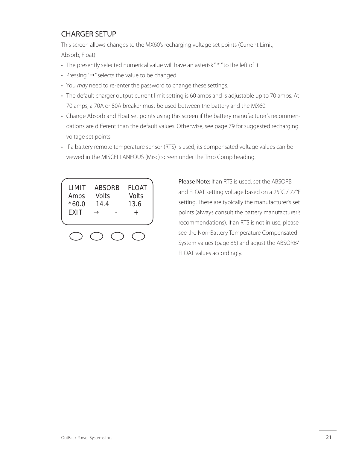# CHARGER SETUP

This screen allows changes to the MX60's recharging voltage set points (Current Limit, Absorb, Float):

- The presently selected numerical value will have an asterisk "\* " to the left of it.
- Pressing " $\rightarrow$ " selects the value to be changed.
- You may need to re-enter the password to change these settings.
- The default charger output current limit setting is 60 amps and is adjustable up to 70 amps. At 70 amps, a 70A or 80A breaker must be used between the battery and the MX60.
- Change Absorb and Float set points using this screen if the battery manufacturer's recommendations are different than the default values. Otherwise, see page 79 for suggested recharging voltage set points.
- If a battery remote temperature sensor (RTS) is used, its compensated voltage values can be viewed in the MISCELLANEOUS (Misc) screen under the Tmp Comp heading.

| LIMIT       | <b>ABSORB</b> |  | <b>FLOAT</b> |  |
|-------------|---------------|--|--------------|--|
| Amps        | Volts         |  | Volts        |  |
| $*60.0$     | 14.4          |  | 13.6         |  |
| <b>EXIT</b> |               |  |              |  |
|             |               |  |              |  |
|             |               |  |              |  |

Please Note: If an RTS is used, set the ABSORB and FLOAT setting voltage based on a 25°C / 77°F setting. These are typically the manufacturer's set points (always consult the battery manufacturer's recommendations). If an RTS is not in use, please see the Non-Battery Temperature Compensated System values (page 85) and adjust the ABSORB/ FLOAT values accordingly.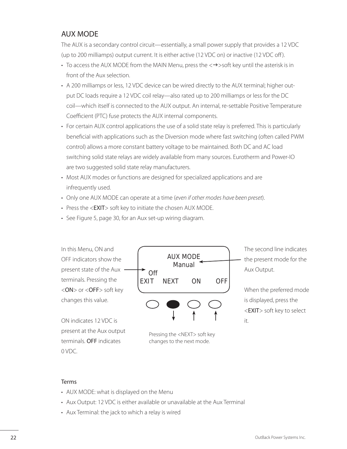## AUX MODE

The AUX is a secondary control circuit—essentially, a small power supply that provides a 12 VDC (up to 200 milliamps) output current. It is either active (12 VDC on) or inactive (12 VDC off ).

- To access the AUX MODE from the MAIN Menu, press the  $\langle \rightarrow \rangle$ soft key until the asterisk is in front of the Aux selection.
- A 200 milliamps or less, 12 VDC device can be wired directly to the AUX terminal; higher output DC loads require a 12 VDC coil relay—also rated up to 200 milliamps or less for the DC coil—which itself is connected to the AUX output. An internal, re-settable Positive Temperature Coefficient (PTC) fuse protects the AUX internal components.
- For certain AUX control applications the use of a solid state relay is preferred. This is particularly beneficial with applications such as the Diversion mode where fast switching (often called PWM control) allows a more constant battery voltage to be maintained. Both DC and AC load switching solid state relays are widely available from many sources. Eurotherm and Power-IO are two suggested solid state relay manufacturers.
- Most AUX modes or functions are designed for specialized applications and are infrequently used.
- Only one AUX MODE can operate at a time (even if other modes have been preset).
- Press the <**EXIT**> soft key to initiate the chosen AUX MODE.
- See Figure 5, page 30, for an Aux set-up wiring diagram.



#### Terms

- AUX MODE: what is displayed on the Menu
- Aux Output: 12 VDC is either available or unavailable at the Aux Terminal
- Aux Terminal: the jack to which a relay is wired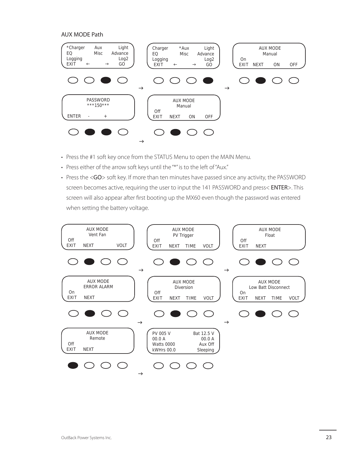#### AUX MODE Path



- Press the #1 soft key once from the STATUS Menu to open the MAIN Menu.
- Press either of the arrow soft keys until the "\*" is to the left of "Aux."
- Press the <GO> soft key. If more than ten minutes have passed since any activity, the PASSWORD screen becomes active, requiring the user to input the 141 PASSWORD and press< **ENTER**>. This screen will also appear after first booting up the MX60 even though the password was entered when setting the battery voltage.

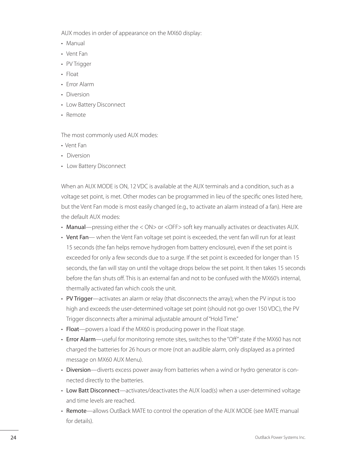AUX modes in order of appearance on the MX60 display:

- Manual
- Vent Fan
- PV Trigger
- Float
- Error Alarm
- Diversion
- Low Battery Disconnect
- Remote

The most commonly used AUX modes:

- Vent Fan
- Diversion
- Low Battery Disconnect

When an AUX MODE is ON, 12 VDC is available at the AUX terminals and a condition, such as a voltage set point, is met. Other modes can be programmed in lieu of the specific ones listed here, but the Vent Fan mode is most easily changed (e.g., to activate an alarm instead of a fan). Here are the default AUX modes:

- Manual—pressing either the < ON> or < OFF> soft key manually activates or deactivates AUX.
- Vent Fan— when the Vent Fan voltage set point is exceeded, the vent fan will run for at least 15 seconds (the fan helps remove hydrogen from battery enclosure), even if the set point is exceeded for only a few seconds due to a surge. If the set point is exceeded for longer than 15 seconds, the fan will stay on until the voltage drops below the set point. It then takes 15 seconds before the fan shuts off. This is an external fan and not to be confused with the MX60's internal, thermally activated fan which cools the unit.
- PV Trigger—activates an alarm or relay (that disconnects the array); when the PV input is too high and exceeds the user-determined voltage set point (should not go over 150 VDC), the PV Trigger disconnects after a minimal adjustable amount of "Hold Time."
- Float—powers a load if the MX60 is producing power in the Float stage.
- Error Alarm—useful for monitoring remote sites, switches to the "Off" state if the MX60 has not charged the batteries for 26 hours or more (not an audible alarm, only displayed as a printed message on MX60 AUX Menu).
- Diversion—diverts excess power away from batteries when a wind or hydro generator is connected directly to the batteries.
- Low Batt Disconnect—activates/deactivates the AUX load(s) when a user-determined voltage and time levels are reached.
- Remote—allows OutBack MATE to control the operation of the AUX MODE (see MATE manual for details).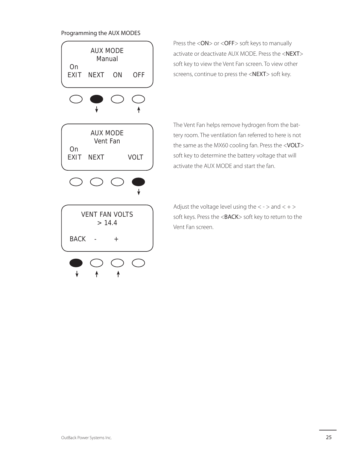#### Programming the AUX MODES



Press the <ON> or <OFF> soft keys to manually activate or deactivate AUX MODE. Press the <NEXT> soft key to view the Vent Fan screen. To view other screens, continue to press the <NEXT> soft key.

The Vent Fan helps remove hydrogen from the battery room. The ventilation fan referred to here is not the same as the MX60 cooling fan. Press the <VOLT> soft key to determine the battery voltage that will activate the AUX MODE and start the fan.

Adjust the voltage level using the  $\langle - \rangle$  and  $\langle + \rangle$ soft keys. Press the <BACK> soft key to return to the Vent Fan screen.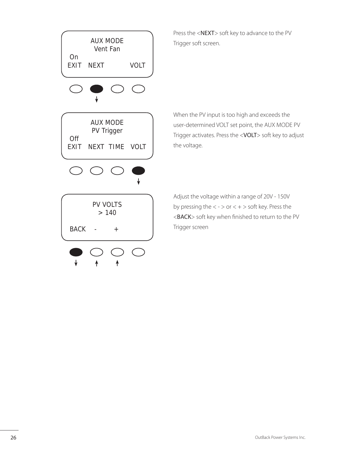

Press the <NEXT> soft key to advance to the PV Trigger soft screen.

When the PV input is too high and exceeds the user-determined VOLT set point, the AUX MODE PV Trigger activates. Press the <VOLT> soft key to adjust

Adjust the voltage within a range of 20V - 150V by pressing the  $\langle - \rangle$  or  $\langle + \rangle$  soft key. Press the <BACK> soft key when finished to return to the PV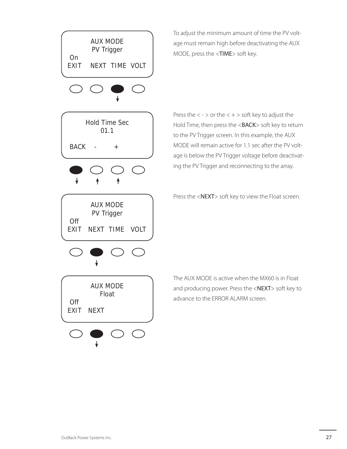

To adjust the minimum amount of time the PV voltage must remain high before deactivating the AUX MODE, press the <TIME> soft key.

Press the  $\langle - \rangle$  or the  $\langle + \rangle$  soft key to adjust the Hold Time, then press the <BACK> soft key to return to the PV Trigger screen. In this example, the AUX MODE will remain active for 1.1 sec after the PV voltage is below the PV Trigger voltage before deactivating the PV Trigger and reconnecting to the array.

Press the <NEXT> soft key to view the Float screen.

The AUX MODE is active when the MX60 is in Float and producing power. Press the <NEXT> soft key to advance to the ERROR ALARM screen.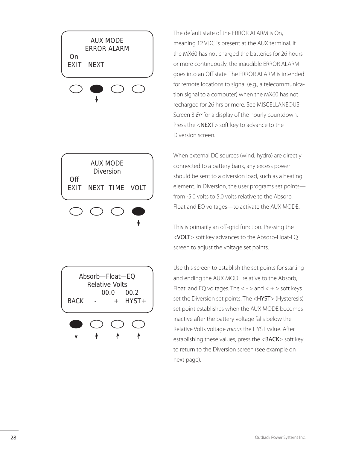





The default state of the ERROR ALARM is On, meaning 12 VDC is present at the AUX terminal. If the MX60 has not charged the batteries for 26 hours or more continuously, the inaudible ERROR ALARM goes into an Off state. The ERROR ALARM is intended for remote locations to signal (e.g., a telecommunication signal to a computer) when the MX60 has not recharged for 26 hrs or more. See MISCELLANEOUS Screen 3 Err for a display of the hourly countdown. Press the <NEXT> soft key to advance to the Diversion screen.

When external DC sources (wind, hydro) are directly connected to a battery bank, any excess power should be sent to a diversion load, such as a heating element. In Diversion, the user programs set points from -5.0 volts to 5.0 volts relative to the Absorb, Float and EQ voltages—to activate the AUX MODE.

This is primarily an off-grid function. Pressing the <VOLT> soft key advances to the Absorb-Float-EQ screen to adjust the voltage set points.

Use this screen to establish the set points for starting and ending the AUX MODE relative to the Absorb, Float, and EQ voltages. The  $\langle - \rangle$  and  $\langle + \rangle$  soft keys set the Diversion set points. The <HYST> (Hysteresis) set point establishes when the AUX MODE becomes inactive after the battery voltage falls below the Relative Volts voltage minus the HYST value. After establishing these values, press the <BACK> soft key to return to the Diversion screen (see example on next page).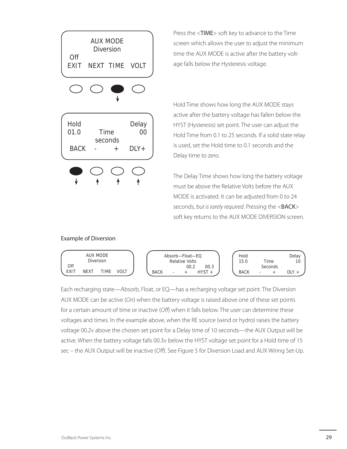

Press the <TIME> soft key to advance to the Time screen which allows the user to adjust the minimum time the AUX MODE is active after the battery voltage falls below the Hysteresis voltage.

Hold Time shows how long the AUX MODE stays active after the battery voltage has fallen below the HYST (Hysteresis) set point. The user can adjust the Hold Time from 0.1 to 25 seconds. If a solid state relay is used, set the Hold time to 0.1 seconds and the Delay time to zero.

The Delay Time shows how long the battery voltage must be above the Relative Volts before the AUX MODE is activated. It can be adjusted from 0 to 24 seconds, but is rarely required. Pressing the <BACK> soft key returns to the AUX MODE DIVERSION screen.

#### Example of Diversion



Each recharging state—Absorb, Float, or EQ—has a recharging voltage set point. The Diversion AUX MODE can be active  $(On)$  when the battery voltage is raised above one of these set points for a certain amount of time or inactive (Off) when it falls below. The user can determine these voltages and times. In the example above, when the RE source (wind or hydro) raises the battery voltage 00.2v above the chosen set point for a Delay time of 10 seconds—the AUX Output will be active. When the battery voltage falls 00.3v below the HYST voltage set point for a Hold time of 15 sec – the AUX Output will be inactive (Off). See Figure 5 for Diversion Load and AUX Wiring Set-Up.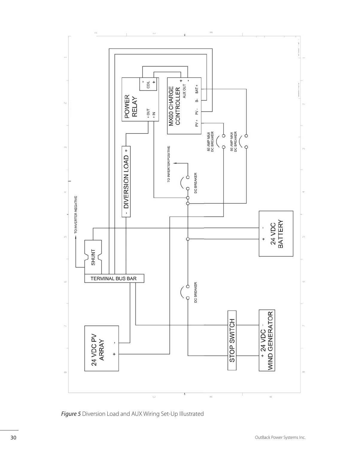

Figure 5 Diversion Load and AUX Wiring Set-Up Illustrated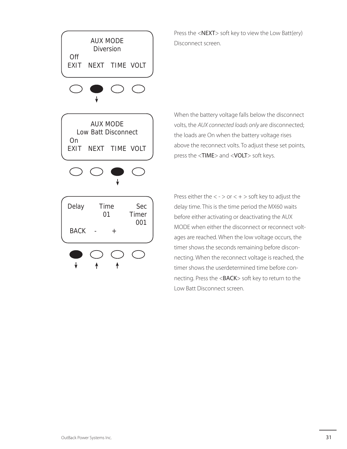

Press the <NEXT> soft key to view the Low Batt(ery) Disconnect screen.

When the battery voltage falls below the disconnect volts, the AUX connected loads only are disconnected; the loads are On when the battery voltage rises above the reconnect volts. To adjust these set points, press the <TIME> and <VOLT> soft keys.

Press either the  $\langle - \rangle$  or  $\langle + \rangle$  soft key to adjust the delay time. This is the time period the MX60 waits before either activating or deactivating the AUX MODE when either the disconnect or reconnect voltages are reached. When the low voltage occurs, the timer shows the seconds remaining before disconnecting. When the reconnect voltage is reached, the timer shows the userdetermined time before connecting. Press the <BACK> soft key to return to the Low Batt Disconnect screen.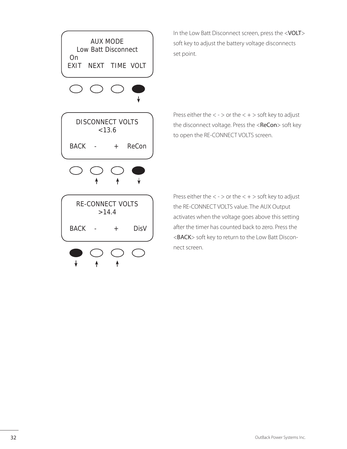

In the Low Batt Disconnect screen, press the <VOLT> soft key to adjust the battery voltage disconnects set point.

Press either the  $\langle - \rangle$  or the  $\langle + \rangle$  soft key to adjust the disconnect voltage. Press the <ReCon> soft key to open the RE-CONNECT VOLTS screen.

Press either the  $\langle - \rangle$  or the  $\langle + \rangle$  soft key to adjust the RE-CONNECT VOLTS value. The AUX Output activates when the voltage goes above this setting after the timer has counted back to zero. Press the <BACK> soft key to return to the Low Batt Disconnect screen.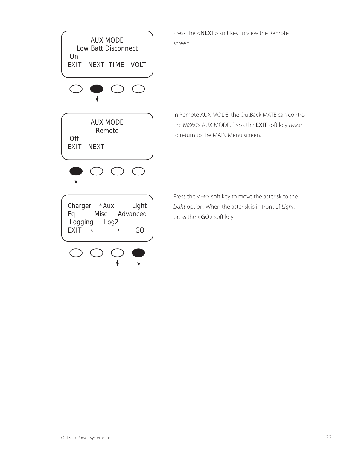

Press the <NEXT> soft key to view the Remote screen.

In Remote AUX MODE, the OutBack MATE can control the MX60's AUX MODE. Press the EXIT soft key twice to return to the MAIN Menu screen.

Press the  $\langle \rightarrow \rangle$  soft key to move the asterisk to the Light option. When the asterisk is in front of Light, press the <GO> soft key.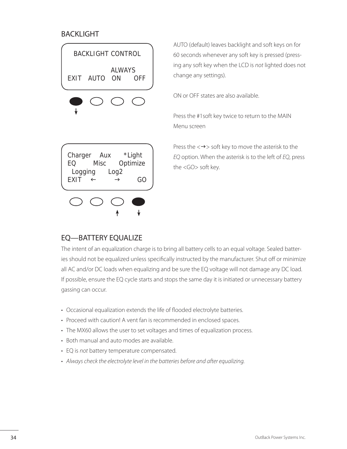## BACKLIGHT



AUTO (default) leaves backlight and soft keys on for 60 seconds whenever any soft key is pressed (pressing any soft key when the LCD is not lighted does not change any settings).

ON or OFF states are also available.

Press the #1soft key twice to return to the MAIN Menu screen

Press the  $\langle \rightarrow \rangle$  soft key to move the asterisk to the EQ option. When the asterisk is to the left of EQ, press the <GO> soft key.

## EQ—BATTERY EQUALIZE

The intent of an equalization charge is to bring all battery cells to an equal voltage. Sealed batteries should not be equalized unless specifically instructed by the manufacturer. Shut off or minimize all AC and/or DC loads when equalizing and be sure the EQ voltage will not damage any DC load. If possible, ensure the EQ cycle starts and stops the same day it is initiated or unnecessary battery gassing can occur.

- Occasional equalization extends the life of flooded electrolyte batteries.
- Proceed with caution! A vent fan is recommended in enclosed spaces.
- The MX60 allows the user to set voltages and times of equalization process.
- Both manual and auto modes are available.
- EQ is not battery temperature compensated.
- Always check the electrolyte level in the batteries before and after equalizing.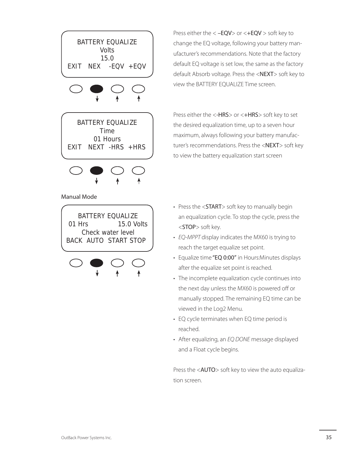

Check water level BACK AUTO START STOP

Press either the < –EQV> or <+EQV > soft key to change the EQ voltage, following your battery manufacturer's recommendations. Note that the factory default EQ voltage is set low, the same as the factory default Absorb voltage. Press the <NEXT> soft key to view the BATTERY EQUALIZE Time screen.

Press either the <-HRS> or <+HRS> soft key to set the desired equalization time, up to a seven hour maximum, always following your battery manufacturer's recommendations. Press the <NEXT> soft key to view the battery equalization start screen

- Press the <START> soft key to manually begin an equalization cycle. To stop the cycle, press the <STOP> soft key.
- EQ-MPPT display indicates the MX60 is trying to reach the target equalize set point.
- Equalize time "EQ 0:00" in Hours: Minutes displays after the equalize set point is reached.
- The incomplete equalization cycle continues into the next day unless the MX60 is powered off or manually stopped. The remaining EQ time can be viewed in the Log2 Menu.
- EQ cycle terminates when EQ time period is reached.
- After equalizing, an EQ DONE message displayed and a Float cycle begins.

Press the <AUTO> soft key to view the auto equalization screen.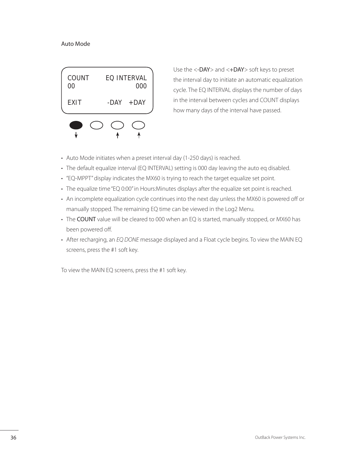#### Auto Mode



Use the <-DAY> and <+DAY> soft keys to preset the interval day to initiate an automatic equalization cycle. The EQ INTERVAL displays the number of days in the interval between cycles and COUNT displays how many days of the interval have passed.

- Auto Mode initiates when a preset interval day (1-250 days) is reached.
- The default equalize interval (EQ INTERVAL) setting is 000 day leaving the auto eq disabled.
- "EQ-MPPT" display indicates the MX60 is trying to reach the target equalize set point.
- The equalize time "EQ 0:00" in Hours:Minutes displays after the equalize set point is reached.
- An incomplete equalization cycle continues into the next day unless the MX60 is powered off or manually stopped. The remaining EQ time can be viewed in the Log2 Menu.
- The COUNT value will be cleared to 000 when an EQ is started, manually stopped, or MX60 has been powered off.
- After recharging, an EQ DONE message displayed and a Float cycle begins. To view the MAIN EQ screens, press the #1 soft key.

To view the MAIN EQ screens, press the #1 soft key.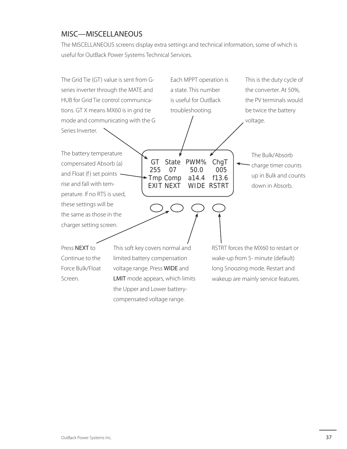## MISC—MISCELLANEOUS

The MISCELLANEOUS screens display extra settings and technical information, some of which is useful for OutBack Power Systems Technical Services.

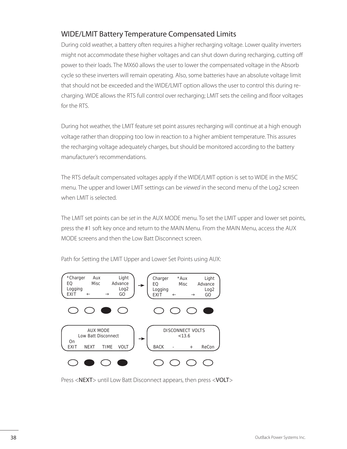# WIDE/LMIT Battery Temperature Compensated Limits

During cold weather, a battery often requires a higher recharging voltage. Lower quality inverters might not accommodate these higher voltages and can shut down during recharging, cutting off power to their loads. The MX60 allows the user to lower the compensated voltage in the Absorb cycle so these inverters will remain operating. Also, some batteries have an absolute voltage limit that should not be exceeded and the WIDE/LMIT option allows the user to control this during recharging. WIDE allows the RTS full control over recharging; LMIT sets the ceiling and floor voltages for the RTS.

During hot weather, the LMIT feature set point assures recharging will continue at a high enough voltage rather than dropping too low in reaction to a higher ambient temperature. This assures the recharging voltage adequately charges, but should be monitored according to the battery manufacturer's recommendations.

The RTS default compensated voltages apply if the WIDE/LMIT option is set to WIDE in the MISC menu. The upper and lower LMIT settings can be viewed in the second menu of the Log2 screen when LMIT is selected.

The LMIT set points can be set in the AUX MODE menu. To set the LMIT upper and lower set points, press the #1 soft key once and return to the MAIN Menu. From the MAIN Menu, access the AUX MODE screens and then the Low Batt Disconnect screen.

Path for Setting the LMIT Upper and Lower Set Points using AUX:



Press <NEXT> until Low Batt Disconnect appears, then press <VOLT>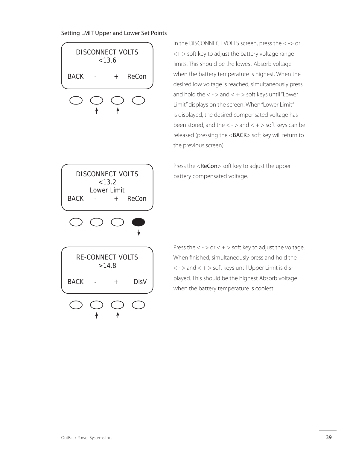#### Setting LMIT Upper and Lower Set Points



In the DISCONNECT VOLTS screen, press the < -> or  $\langle + \rangle$  soft key to adjust the battery voltage range limits. This should be the lowest Absorb voltage when the battery temperature is highest. When the desired low voltage is reached, simultaneously press and hold the  $\langle - \rangle$  and  $\langle + \rangle$  soft keys until "Lower Limit" displays on the screen. When "Lower Limit" is displayed, the desired compensated voltage has been stored, and the  $\langle - \rangle$  and  $\langle + \rangle$  soft keys can be released (pressing the <BACK> soft key will return to the previous screen).

Press the <ReCon> soft key to adjust the upper battery compensated voltage.

Press the  $\langle - \rangle$  or  $\langle + \rangle$  soft key to adjust the voltage. When finished, simultaneously press and hold the  $\langle - \rangle$  and  $\langle + \rangle$  soft keys until Upper Limit is displayed. This should be the highest Absorb voltage when the battery temperature is coolest.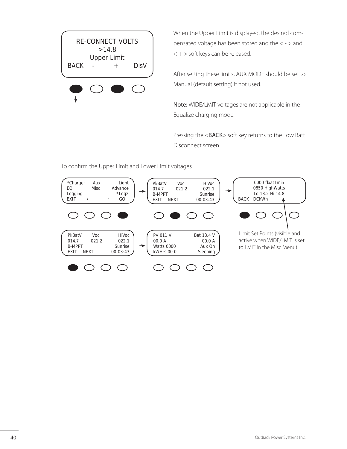

When the Upper Limit is displayed, the desired compensated voltage has been stored and the < - > and < + > soft keys can be released.

After setting these limits, AUX MODE should be set to Manual (default setting) if not used.

Note: WIDE/LMIT voltages are not applicable in the Equalize charging mode.

Pressing the <BACK> soft key returns to the Low Batt Disconnect screen.

To confirm the Upper Limit and Lower Limit voltages

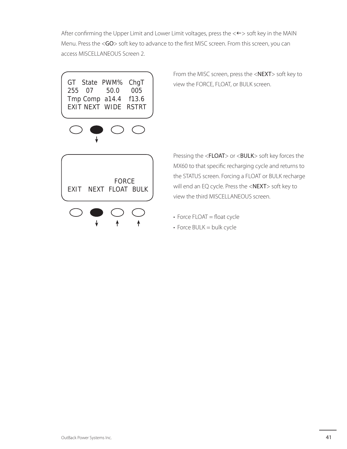After confirming the Upper Limit and Lower Limit voltages, press the  $\langle\leftarrow\rangle$  soft key in the MAIN Menu. Press the <GO> soft key to advance to the first MISC screen. From this screen, you can access MISCELLANEOUS Screen 2.



From the MISC screen, press the <NEXT> soft key to view the FORCE, FLOAT, or BULK screen.

Pressing the <FLOAT> or <BULK> soft key forces the MX60 to that specific recharging cycle and returns to the STATUS screen. Forcing a FLOAT or BULK recharge will end an EQ cycle. Press the <NEXT> soft key to view the third MISCELLANEOUS screen.

- $\cdot$  Force FLOAT = float cycle
- Force BULK = bulk cycle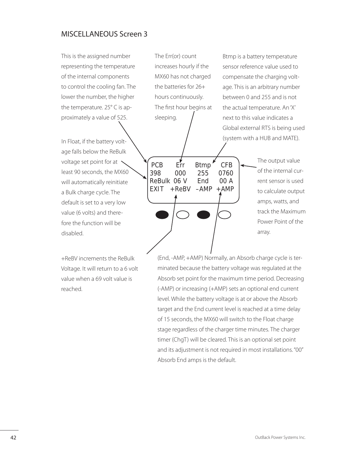## MISCELLANEOUS Screen 3

This is the assigned number representing the temperature of the internal components to control the cooling fan. The lower the number, the higher the temperature. 25° C is approximately a value of 525.

In Float, if the battery voltage falls below the ReBulk voltage set point for at least 90 seconds, the MX60 will automatically reinitiate a Bulk charge cycle. The default is set to a very low value (6 volts) and therefore the function will be disabled.

+ReBV increments the ReBulk Voltage. It will return to a 6 volt value when a 69 volt value is reached.

The Err(or) count increases hourly if the MX60 has not charged the batteries for 26+ hours continuously. The first hour begins at sleeping.

PCB Err Btmp CFB 398 000 255 0760 ReBulk 06 V End 00 A EXIT +ReBV –AMP +AMP

Btmp is a battery temperature sensor reference value used to compensate the charging voltage. This is an arbitrary number between 0 and 255 and is not the actual temperature. An 'X' next to this value indicates a Global external RTS is being used (system with a HUB and MATE).

> The output value of the internal current sensor is used to calculate output amps, watts, and track the Maximum Power Point of the array.

(End, -AMP, +AMP) Normally, an Absorb charge cycle is terminated because the battery voltage was regulated at the Absorb set point for the maximum time period. Decreasing (-AMP) or increasing (+AMP) sets an optional end current level. While the battery voltage is at or above the Absorb target and the End current level is reached at a time delay of 15 seconds, the MX60 will switch to the Float charge stage regardless of the charger time minutes. The charger timer (ChgT) will be cleared. This is an optional set point and its adjustment is not required in most installations. "00" Absorb End amps is the default.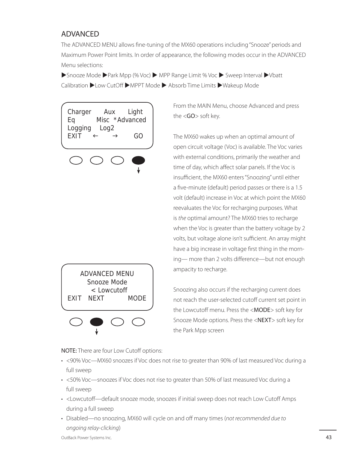## ADVANCED

The ADVANCED MENU allows fine-tuning of the MX60 operations including "Snooze" periods and Maximum Power Point limits. In order of appearance, the following modes occur in the ADVANCED Menu selections:

▶Snooze Mode ▶Park Mpp (% Voc) ▶ MPP Range Limit % Voc ▶ Sweep Interval ▶ Vbatt Calibration ▶Low CutOff ▶MPPT Mode ▶ Absorb Time Limits ▶ Wakeup Mode



From the MAIN Menu, choose Advanced and press the <GO> soft key.

The MX60 wakes up when an optimal amount of open circuit voltage (Voc) is available. The Voc varies with external conditions, primarily the weather and time of day, which affect solar panels. If the Voc is insufficient, the MX60 enters "Snoozing" until either a five-minute (default) period passes or there is a 1.5 volt (default) increase in Voc at which point the MX60 reevaluates the Voc for recharging purposes. What is the optimal amount? The MX60 tries to recharge when the Voc is greater than the battery voltage by 2 volts, but voltage alone isn't sufficient. An array might have a big increase in voltage first thing in the morning— more than 2 volts difference—but not enough ampacity to recharge.

Snoozing also occurs if the recharging current does not reach the user-selected cutoff current set point in the Lowcutoff menu. Press the <MODE> soft key for Snooze Mode options. Press the <NEXT> soft key for the Park Mpp screen

NOTE: There are four Low Cutoff options:

- <90% Voc—MX60 snoozes if Voc does not rise to greater than 90% of last measured Voc during a full sweep
- <50% Voc—snoozes if Voc does not rise to greater than 50% of last measured Voc during a full sweep
- <Lowcutoff-default snooze mode, snoozes if initial sweep does not reach Low Cutoff Amps during a full sweep
- Disabled—no snoozing, MX60 will cycle on and off many times (not recommended due to ongoing relay-clicking)

OutBack Power Systems Inc. **43**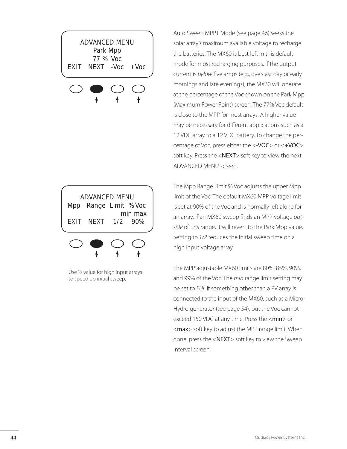



Use ½ value for high input arrays to speed up initial sweep.

Auto Sweep MPPT Mode (see page 46) seeks the solar array's maximum available voltage to recharge the batteries. The MX60 is best left in this default mode for most recharging purposes. If the output current is below five amps (e.g., overcast day or early mornings and late evenings), the MX60 will operate at the percentage of the Voc shown on the Park Mpp (Maximum Power Point) screen. The 77% Voc default is close to the MPP for most arrays. A higher value may be necessary for different applications such as a 12 VDC array to a 12 VDC battery. To change the percentage of Voc, press either the <-VOC> or <+VOC> soft key. Press the <NEXT> soft key to view the next ADVANCED MENU screen.

The Mpp Range Limit % Voc adjusts the upper Mpp limit of the Voc. The default MX60 MPP voltage limit is set at 90% of the Voc and is normally left alone for an array. If an MX60 sweep finds an MPP voltage outside of this range, it will revert to the Park Mpp value. Setting to 1/2 reduces the initial sweep time on a high input voltage array.

The MPP adjustable MX60 limits are 80%, 85%, 90%, and 99% of the Voc. The min range limit setting may be set to FUL if something other than a PV array is connected to the input of the MX60, such as a Micro-Hydro generator (see page 54), but the Voc cannot exceed 150 VDC at any time. Press the <min> or <max> soft key to adjust the MPP range limit. When done, press the <NEXT> soft key to view the Sweep Interval screen.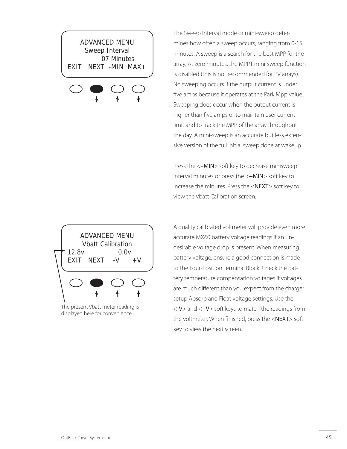

The Sweep Interval mode or mini-sweep determines how often a sweep occurs, ranging from 0-15 minutes. A sweep is a search for the best MPP for the array. At zero minutes, the MPPT mini-sweep function is disabled (this is not recommended for PV arrays). No sweeping occurs if the output current is under five amps because it operates at the Park Mpp value. Sweeping does occur when the output current is higher than five amps or to maintain user current limit and to track the MPP of the array throughout the day. A mini-sweep is an accurate but less extensive version of the full initial sweep done at wakeup.

Press the <–MIN> soft key to decrease minisweep interval minutes or press the <+MIN> soft key to increase the minutes. Press the <NEXT> soft key to view the Vbatt Calibration screen.



The present Vbatt meter reading is displayed here for convenience.

A quality calibrated voltmeter will provide even more accurate MX60 battery voltage readings if an undesirable voltage drop is present. When measuring battery voltage, ensure a good connection is made to the Four-Position Terminal Block. Check the battery temperature compensation voltages if voltages are much different than you expect from the charger setup Absorb and Float voltage settings. Use the <-V> and <+V> soft keys to match the readings from the voltmeter. When finished, press the  $\langle \text{NEXT} \rangle$  soft key to view the next screen.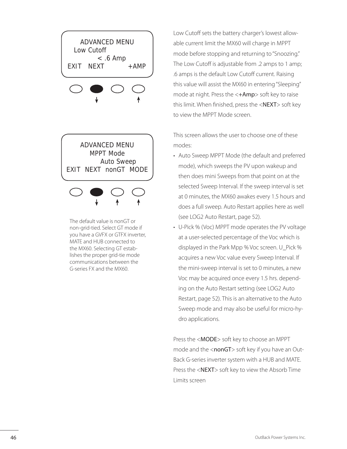

ADVANCED MENU MPPT Mode Auto Sweep EXIT NEXT nonGT MODE



The default value is nonGT or non-grid-tied. Select GT mode if you have a GVFX or GTFX inverter, MATE and HUB connected to the MX60. Selecting GT establishes the proper grid-tie mode communications between the G-series FX and the MX60.

Low Cutoff sets the battery charger's lowest allowable current limit the MX60 will charge in MPPT mode before stopping and returning to "Snoozing." The Low Cutoff is adjustable from .2 amps to 1 amp; .6 amps is the default Low Cutoff current. Raising this value will assist the MX60 in entering "Sleeping" mode at night. Press the  $\lt$  + Amp > soft key to raise this limit. When finished, press the  $\langle \text{NEXT} \rangle$  soft key to view the MPPT Mode screen.

This screen allows the user to choose one of these modes:

- Auto Sweep MPPT Mode (the default and preferred mode), which sweeps the PV upon wakeup and then does mini Sweeps from that point on at the selected Sweep Interval. If the sweep interval is set at 0 minutes, the MX60 awakes every 1.5 hours and does a full sweep. Auto Restart applies here as well (see LOG2 Auto Restart, page 52).
- U-Pick % (Voc) MPPT mode operates the PV voltage at a user-selected percentage of the Voc which is displayed in the Park Mpp % Voc screen. U Pick % acquires a new Voc value every Sweep Interval. If the mini-sweep interval is set to 0 minutes, a new Voc may be acquired once every 1.5 hrs. depending on the Auto Restart setting (see LOG2 Auto Restart, page 52). This is an alternative to the Auto Sweep mode and may also be useful for micro-hydro applications.

Press the <MODE> soft key to choose an MPPT mode and the  $<$ nonGT $>$  soft key if you have an Out-Back G-series inverter system with a HUB and MATE. Press the <NEXT> soft key to view the Absorb Time Limits screen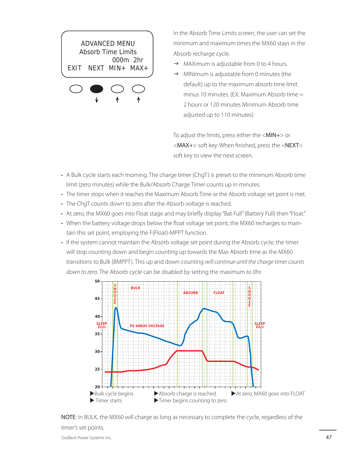

In the Absorb Time Limits screen, the user can set the minimum and maximum times the MX60 stays in the Absorb recharge cycle.

- $\rightarrow$  MAXimum is adjustable from 0 to 4 hours.
- $\rightarrow$  MINimum is adjustable from 0 minutes (the default) up to the maximum absorb time limit minus 10 minutes. (EX: Maximum Absorb time = 2 hours or 120 minutes Minimum Absorb time adjusted up to 110 minutes)

To adjust the limits, press either the <MIN+> or <MAX+> soft key. When finished, press the <NEXT> soft key to view the next screen.

- A Bulk cycle starts each morning. The charge timer (ChgT) is preset to the minimum Absorb time limit (zero minutes) while the Bulk/Absorb Charge Timer counts up in minutes.
- The timer stops when it reaches the Maximum Absorb Time or the Absorb voltage set point is met.
- The ChgT counts down to zero after the Absorb voltage is reached.
- At zero, the MX60 goes into Float stage and may briefly display "Bat Full" (Battery Full) then "Float."
- When the battery voltage drops below the float voltage set point, the MX60 recharges to maintain this set point, employing the F(Float)-MPPT function.
- If the system cannot maintain the Absorb voltage set point during the Absorb cycle, the timer will stop counting down and begin counting up towards the Max Absorb time as the MX60 transitions to Bulk (BMPPT). This up and down counting will continue until the charge timer counts down to zero. The Absorb cycle can be disabled by setting the maximum to 0hr.



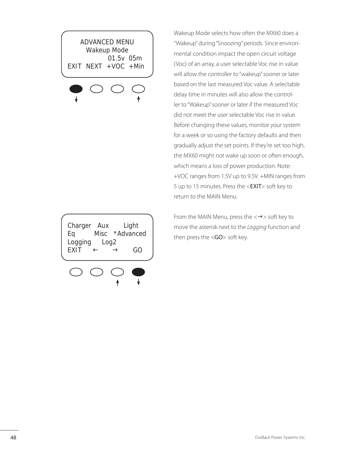



Wakeup Mode selects how often the MX60 does a "Wakeup" during "Snoozing" periods. Since environmental condition impact the open circuit voltage (Voc) of an array, a user selectable Voc rise in value will allow the controller to "wakeup" sooner or later based on the last measured Voc value. A selectable delay time in minutes will also allow the controller to "Wakeup" sooner or later if the measured Voc did not meet the user selectable Voc rise in value. Before changing these values, monitor your system for a week or so using the factory defaults and then gradually adjust the set points. If they're set too high, the MX60 might not wake up soon or often enough, which means a loss of power production. Note: +VOC ranges from 1.5V up to 9.5V. +MIN ranges from 5 up to 15 minutes. Press the <EXIT> soft key to return to the MAIN Menu.

From the MAIN Menu, press the  $\langle \rightarrow \rangle$  soft key to move the asterisk next to the Logging function and then press the <GO> soft key.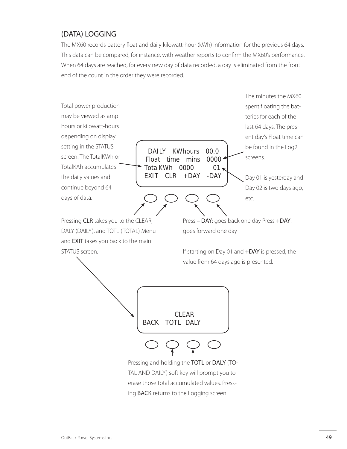## (DATA) LOGGING

The MX60 records battery float and daily kilowatt-hour (kWh) information for the previous 64 days. This data can be compared, for instance, with weather reports to confirm the MX60's performance. When 64 days are reached, for every new day of data recorded, a day is eliminated from the front end of the count in the order they were recorded.

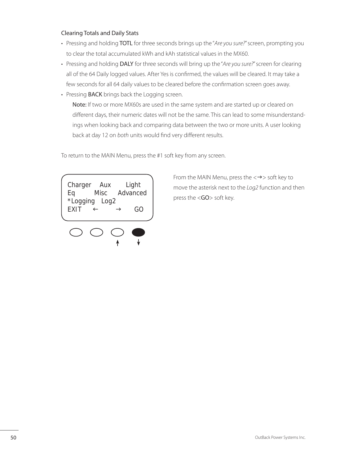#### Clearing Totals and Daily Stats

- Pressing and holding TOTL for three seconds brings up the "Are you sure?" screen, prompting you to clear the total accumulated kWh and kAh statistical values in the MX60.
- Pressing and holding DALY for three seconds will bring up the "Are you sure?" screen for clearing all of the 64 Daily logged values. After Yes is confirmed, the values will be cleared. It may take a few seconds for all 64 daily values to be cleared before the confirmation screen goes away.
- Pressing **BACK** brings back the Logging screen.

Note: If two or more MX60s are used in the same system and are started up or cleared on different days, their numeric dates will not be the same. This can lead to some misunderstand ings when looking back and comparing data between the two or more units. A user looking back at day 12 on both units would find very different results.

To return to the MAIN Menu, press the #1 soft key from any screen.



From the MAIN Menu, press the  $\langle \rightarrow \rangle$  soft key to move the asterisk next to the Log2 function and then press the <GO> soft key.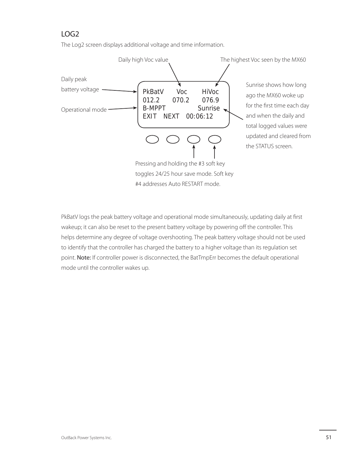## LOG2

The Log2 screen displays additional voltage and time information.



PkBatV logs the peak battery voltage and operational mode simultaneously, updating daily at first wakeup; it can also be reset to the present battery voltage by powering off the controller. This helps determine any degree of voltage overshooting. The peak battery voltage should not be used to identify that the controller has charged the battery to a higher voltage than its regulation set point. Note: If controller power is disconnected, the BatTmpErr becomes the default operational mode until the controller wakes up.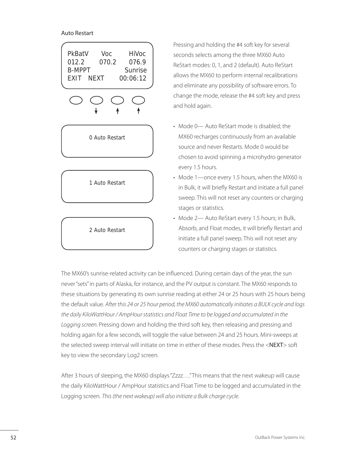#### Auto Restart



Pressing and holding the #4 soft key for several seconds selects among the three MX60 Auto ReStart modes: 0, 1, and 2 (default). Auto ReStart allows the MX60 to perform internal recalibrations and eliminate any possibility of software errors. To change the mode, release the #4 soft key and press and hold again.

- Mode 0— Auto ReStart mode is disabled; the MX60 recharges continuously from an available source and never Restarts. Mode 0 would be chosen to avoid spinning a microhydro generator every 1.5 hours.
- Mode 1—once every 1.5 hours, when the MX60 is in Bulk, it will briefly Restart and initiate a full panel sweep. This will not reset any counters or charging stages or statistics.
- Mode 2- Auto ReStart every 1.5 hours; in Bulk, Absorb, and Float modes, it will briefly Restart and initiate a full panel sweep. This will not reset any counters or charging stages or statistics.

The MX60's sunrise-related activity can be influenced. During certain days of the year, the sun never "sets" in parts of Alaska, for instance, and the PV output is constant. The MX60 responds to these situations by generating its own sunrise reading at either 24 or 25 hours with 25 hours being the default value. After this 24 or 25 hour period, the MX60 automatically initiates a BULK cycle and logs the daily KiloWattHour / AmpHour statistics and Float Time to be logged and accumulated in the Logging screen. Pressing down and holding the third soft key, then releasing and pressing and holding again for a few seconds, will toggle the value between 24 and 25 hours. Mini-sweeps at the selected sweep interval will initiate on time in either of these modes. Press the <NEXT> soft key to view the secondary Log2 screen.

After 3 hours of sleeping, the MX60 displays "Zzzz…." This means that the next wakeup will cause the daily KiloWattHour / AmpHour statistics and Float Time to be logged and accumulated in the Logging screen. This (the next wakeup) will also initiate a Bulk charge cycle.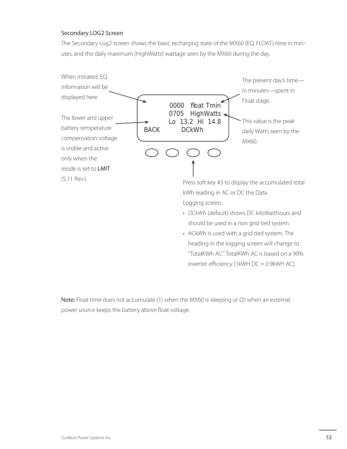#### Secondary LOG2 Screen

The Secondary Log2 screen shows the basic recharging state of the MX60 (EQ, FLOAT) time in minutes, and the daily maximum (HighWatts) wattage seen by the MX60 during the day.



Note: Float time does not accumulate (1) when the MX60 is sleeping or (2) when an external power source keeps the battery above float voltage.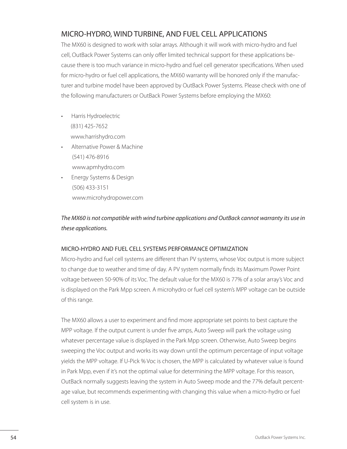# MICRO-HYDRO, WIND TURBINE, AND FUEL CELL APPLICATIONS

The MX60 is designed to work with solar arrays. Although it will work with micro-hydro and fuel cell, OutBack Power Systems can only offer limited technical support for these applications because there is too much variance in micro-hydro and fuel cell generator specifications. When used for micro-hydro or fuel cell applications, the MX60 warranty will be honored only if the manufacturer and turbine model have been approved by OutBack Power Systems. Please check with one of the following manufacturers or OutBack Power Systems before employing the MX60:

- Harris Hydroelectric (831) 425-7652 www.harrishydro.com •
- Alternative Power & Machine (541) 476-8916 www.apmhydro.com •
- Energy Systems & Design (506) 433-3151 www.microhydropower.com •

## The MX60 is not compatible with wind turbine applications and OutBack cannot warranty its use in these applications.

#### MICRO-HYDRO AND FUEL CELL SYSTEMS PERFORMANCE OPTIMIZATION

Micro-hydro and fuel cell systems are different than PV systems, whose Voc output is more subject to change due to weather and time of day. A PV system normally finds its Maximum Power Point voltage between 50-90% of its Voc. The default value for the MX60 is 77% of a solar array's Voc and is displayed on the Park Mpp screen. A microhydro or fuel cell system's MPP voltage can be outside of this range.

The MX60 allows a user to experiment and find more appropriate set points to best capture the MPP voltage. If the output current is under five amps, Auto Sweep will park the voltage using whatever percentage value is displayed in the Park Mpp screen. Otherwise, Auto Sweep begins sweeping the Voc output and works its way down until the optimum percentage of input voltage yields the MPP voltage. If U-Pick % Voc is chosen, the MPP is calculated by whatever value is found in Park Mpp, even if it's not the optimal value for determining the MPP voltage. For this reason, OutBack normally suggests leaving the system in Auto Sweep mode and the 77% default percentage value, but recommends experimenting with changing this value when a micro-hydro or fuel cell system is in use.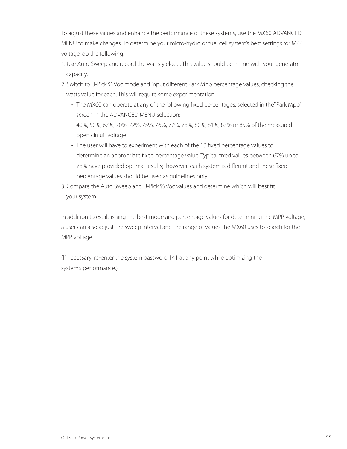To adjust these values and enhance the performance of these systems, use the MX60 ADVANCED MENU to make changes. To determine your micro-hydro or fuel cell system's best settings for MPP voltage, do the following:

- 1. Use Auto Sweep and record the watts yielded. This value should be in line with your generator capacity.
- 2. Switch to U-Pick % Voc mode and input different Park Mpp percentage values, checking the watts value for each. This will require some experimentation.
	- The MX60 can operate at any of the following fixed percentages, selected in the" Park Mpp" screen in the ADVANCED MENU selection: 40%, 50%, 67%, 70%, 72%, 75%, 76%, 77%, 78%, 80%, 81%, 83% or 85% of the measured open circuit voltage
	- The user will have to experiment with each of the 13 fixed percentage values to determine an appropriate fixed percentage value. Typical fixed values between 67% up to 78% have provided optimal results; however, each system is different and these fixed percentage values should be used as guidelines only
- 3. Compare the Auto Sweep and U-Pick % Voc values and determine which will best fit your system.

In addition to establishing the best mode and percentage values for determining the MPP voltage, a user can also adjust the sweep interval and the range of values the MX60 uses to search for the MPP voltage.

(If necessary, re-enter the system password 141 at any point while optimizing the system's performance.)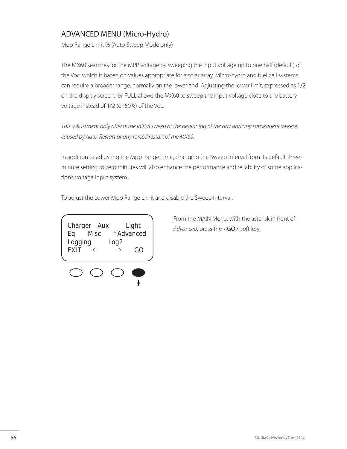## ADVANCED MENU (Micro-Hydro)

Mpp Range Limit % (Auto Sweep Mode only)

The MX60 searches for the MPP voltage by sweeping the input voltage up to one half (default) of the Voc, which is based on values appropriate for a solar array. Micro-hydro and fuel cell systems can require a broader range, normally on the lower end. Adjusting the lower limit, expressed as 1/2 on the display screen, for FULL allows the MX60 to sweep the input voltage close to the battery voltage instead of 1/2 (or 50%) of the Voc.

This adjustment only affects the initial sweep at the beginning of the day and any subsequent sweeps caused by Auto-Restart or any forced restart of the MX60.

In addition to adjusting the Mpp Range Limit, changing the Sweep Interval from its default threeminute setting to zero minutes will also enhance the performance and reliability of some applications' voltage input system.

To adjust the Lower Mpp Range Limit and disable the Sweep Interval:



From the MAIN Menu, with the asterisk in front of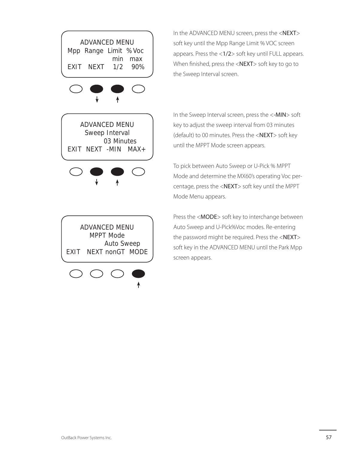

In the ADVANCED MENU screen, press the <NEXT> soft key until the Mpp Range Limit % VOC screen appears. Press the <1/2> soft key until FULL appears. When finished, press the <NEXT> soft key to go to the Sweep Interval screen.

In the Sweep Interval screen, press the <-MIN> soft key to adjust the sweep interval from 03 minutes (default) to 00 minutes. Press the <NEXT> soft key until the MPPT Mode screen appears.

To pick between Auto Sweep or U-Pick % MPPT Mode and determine the MX60's operating Voc percentage, press the <NEXT> soft key until the MPPT Mode Menu appears.

Press the <MODE> soft key to interchange between Auto Sweep and U-Pick%Voc modes. Re-entering the password might be required. Press the  $\langle NEXT \rangle$ soft key in the ADVANCED MENU until the Park Mpp screen appears.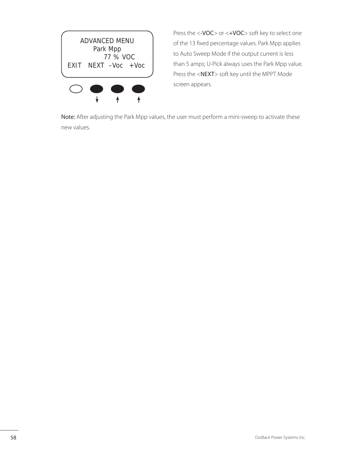

Press the <-VOC> or <+VOC> soft key to select one of the 13 fixed percentage values. Park Mpp applies to Auto Sweep Mode if the output current is less than 5 amps; U-Pick always uses the Park Mpp value. Press the <NEXT> soft key until the MPPT Mode screen appears.

Note: After adjusting the Park Mpp values, the user must perform a mini-sweep to activate these new values.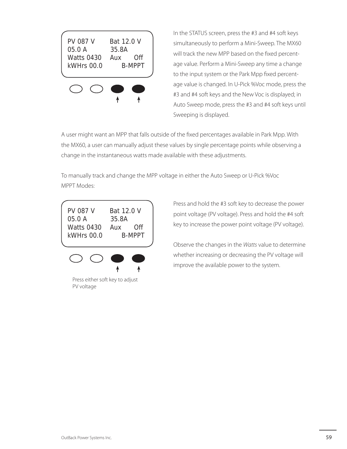| <b>PV 087 V</b><br>05.0 A<br>Watts 0430<br><b>kWHrs 00.0</b> | Bat 12.0 V<br>35.8A<br>Aux<br>Off<br><b>B-MPPT</b> |
|--------------------------------------------------------------|----------------------------------------------------|
|                                                              |                                                    |

In the STATUS screen, press the #3 and #4 soft keys simultaneously to perform a Mini-Sweep. The MX60 will track the new MPP based on the fixed percentage value. Perform a Mini-Sweep any time a change to the input system or the Park Mpp fixed percentage value is changed. In U-Pick %Voc mode, press the #3 and #4 soft keys and the New Voc is displayed; in Auto Sweep mode, press the #3 and #4 soft keys until Sweeping is displayed.

A user might want an MPP that falls outside of the fixed percentages available in Park Mpp. With the MX60, a user can manually adjust these values by single percentage points while observing a change in the instantaneous watts made available with these adjustments.

To manually track and change the MPP voltage in either the Auto Sweep or U-Pick %Voc MPPT Modes:

| <b>PV 087 V</b> | Bat 12.0 V    |
|-----------------|---------------|
| 05.0 A          | 35.8A         |
| Watts 0430      | Aux<br>∩ff    |
| kWHrs 00.0      | <b>B-MPPT</b> |
|                 |               |
|                 |               |
|                 |               |

Press either soft key to adjust PV voltage

Press and hold the #3 soft key to decrease the power point voltage (PV voltage). Press and hold the #4 soft key to increase the power point voltage (PV voltage).

Observe the changes in the Watts value to determine whether increasing or decreasing the PV voltage will improve the available power to the system.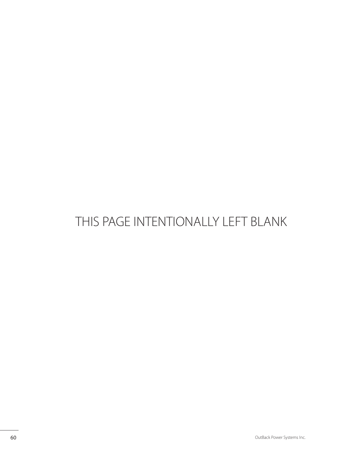# THIS PAGE INTENTIONALLY LEFT BLANK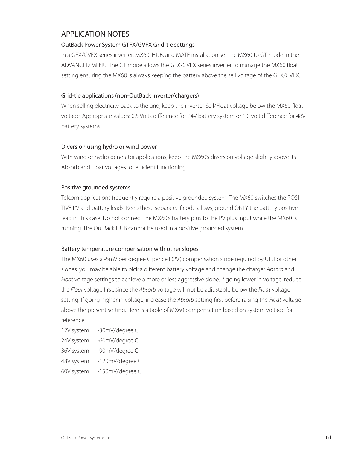## APPLICATION NOTES

#### OutBack Power System GTFX/GVFX Grid-tie settings

In a GFX/GVFX series inverter, MX60, HUB, and MATE installation set the MX60 to GT mode in the ADVANCED MENU. The GT mode allows the GFX/GVFX series inverter to manage the MX60 float setting ensuring the MX60 is always keeping the battery above the sell voltage of the GFX/GVFX.

#### Grid-tie applications (non-OutBack inverter/chargers)

When selling electricity back to the grid, keep the inverter Sell/Float voltage below the MX60 float voltage. Appropriate values: 0.5 Volts difference for 24V battery system or 1.0 volt difference for 48V battery systems.

#### Diversion using hydro or wind power

With wind or hydro generator applications, keep the MX60's diversion voltage slightly above its Absorb and Float voltages for efficient functioning.

#### Positive grounded systems

Telcom applications frequently require a positive grounded system. The MX60 switches the POSI-TIVE PV and battery leads. Keep these separate. If code allows, ground ONLY the battery positive lead in this case. Do not connect the MX60's battery plus to the PV plus input while the MX60 is running. The OutBack HUB cannot be used in a positive grounded system.

#### Battery temperature compensation with other slopes

The MX60 uses a -5mV per degree C per cell (2V) compensation slope required by UL. For other slopes, you may be able to pick a different battery voltage and change the charger Absorb and Float voltage settings to achieve a more or less aggressive slope. If going lower in voltage, reduce the Float voltage first, since the Absorb voltage will not be adjustable below the Float voltage setting. If going higher in voltage, increase the Absorb setting first before raising the Float voltage above the present setting. Here is a table of MX60 compensation based on system voltage for reference:

- 12V system -30mV/degree C
- 24V system -60mV/degree C
- 36V system -90mV/degree C
- 48V system -120mV/degree C
- 60V system -150mV/degree C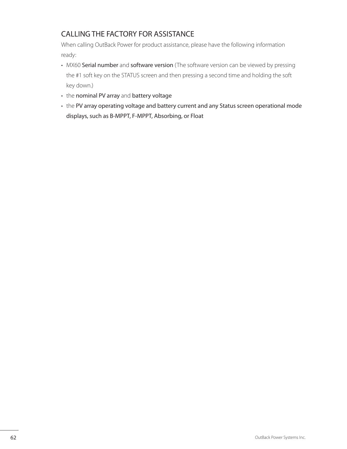# CALLING THE FACTORY FOR ASSISTANCE

When calling OutBack Power for product assistance, please have the following information ready:

- MX60 Serial number and software version (The software version can be viewed by pressing the #1 soft key on the STATUS screen and then pressing a second time and holding the soft key down.)
- the nominal PV array and battery voltage
- the PV array operating voltage and battery current and any Status screen operational mode displays, such as B-MPPT, F-MPPT, Absorbing, or Float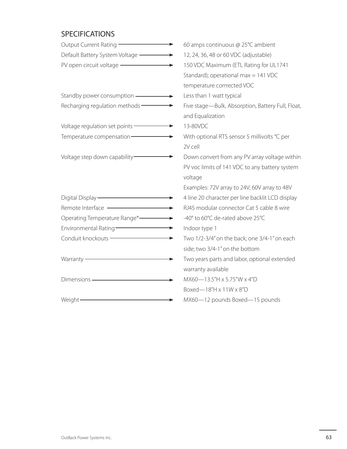# SPECIFICATIONS

| Output Current Rating –––––––––––––––                                                                                                                                                                                                | 60 amps continuous @ 25°C ambient                 |
|--------------------------------------------------------------------------------------------------------------------------------------------------------------------------------------------------------------------------------------|---------------------------------------------------|
| Default Battery System Voltage - Superstanding                                                                                                                                                                                       | 12, 24, 36, 48 or 60 VDC (adjustable)             |
| PV open circuit voltage –––––––––––––––––––                                                                                                                                                                                          | 150 VDC Maximum (ETL Rating for UL1741            |
|                                                                                                                                                                                                                                      | Standard); operational max = 141 VDC              |
|                                                                                                                                                                                                                                      | temperature corrrected VOC                        |
| Standby power consumption ——————                                                                                                                                                                                                     | Less than 1 watt typical                          |
| Recharging regulation methods - - - - -                                                                                                                                                                                              | Five stage-Bulk, Absorption, Battery Full, Float, |
|                                                                                                                                                                                                                                      | and Equalization                                  |
| Voltage regulation set points –––––––––––––                                                                                                                                                                                          | 13-80VDC                                          |
| Temperature compensation-                                                                                                                                                                                                            | With optional RTS sensor 5 millivolts °C per      |
|                                                                                                                                                                                                                                      | 2V cell                                           |
| Voltage step down capability-                                                                                                                                                                                                        | Down convert from any PV array voltage within     |
|                                                                                                                                                                                                                                      | PV voc limits of 141 VDC to any battery system    |
|                                                                                                                                                                                                                                      | voltage                                           |
|                                                                                                                                                                                                                                      | Examples: 72V array to 24V; 60V array to 48V      |
|                                                                                                                                                                                                                                      | 4 line 20 character per line backlit LCD display  |
| Remote Interface –––––––––––––––––––––                                                                                                                                                                                               | RJ45 modular connector Cat 5 cable 8 wire         |
| Operating Temperature Range*-                                                                                                                                                                                                        | -40° to 60°C de-rated above 25°C                  |
|                                                                                                                                                                                                                                      | Indoor type 1                                     |
| Conduit knockouts                                                                                                                                                                                                                    | Two 1/2-3/4" on the back; one 3/4-1" on each      |
|                                                                                                                                                                                                                                      | side; two 3/4-1" on the bottom                    |
| Warranty <u>- Alexander Alexander Alexander Alexander Alexander Alexander Alexander Alexander Alexander Alexander Alexander Alexander Alexander Alexander Alexander Alexander Alexander Alexander Alexander Alexander Alexander </u> | Two years parts and labor, optional extended      |
|                                                                                                                                                                                                                                      | warranty available                                |
| $Dimensions$ $\longrightarrow$                                                                                                                                                                                                       | MX60-13.5"H x 5.75"W x 4"D                        |
|                                                                                                                                                                                                                                      | Boxed-18"H x 11W x 8"D                            |
| Weight <b>Contract Contract Contract Contract Contract Contract Contract Contract Contract Contract Contract Contract Contract Contract Contract Contract Contract Contract Contract Contract Contract Contract Contract Contrac</b> | MX60-12 pounds Boxed-15 pounds                    |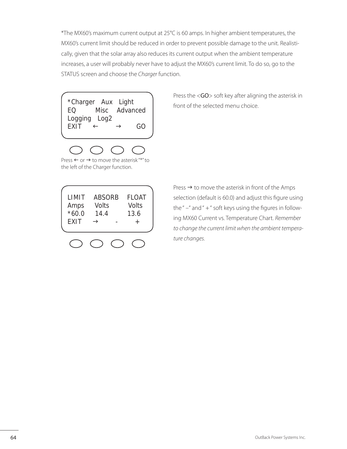\*The MX60's maximum current output at 25°C is 60 amps. In higher ambient temperatures, the MX60's current limit should be reduced in order to prevent possible damage to the unit. Realistically, given that the solar array also reduces its current output when the ambient temperature increases, a user will probably never have to adjust the MX60's current limit. To do so, go to the STATUS screen and choose the Charger function.

| *Charger Aux Light |              |               |    |
|--------------------|--------------|---------------|----|
| FO.                |              | Misc Advanced |    |
| Logging Log2       |              |               |    |
| <b>FXIT</b>        | $\leftarrow$ | →             | GO |
|                    |              |               |    |
|                    |              |               |    |

Press  $\leftarrow$  or  $\rightarrow$  to move the asterisk "\*" to the left of the Charger function.

|       | <b>FLOAT</b>  |
|-------|---------------|
| Volts | Volts         |
| 14.4  | 13.6          |
|       |               |
|       |               |
|       |               |
|       | <b>ABSORB</b> |

Press the <GO> soft key after aligning the asterisk in front of the selected menu choice.

Press  $\rightarrow$  to move the asterisk in front of the Amps selection (default is 60.0) and adjust this figure using the  $" -"$  and  $" +"$  soft keys using the figures in following MX60 Current vs. Temperature Chart. Remember to change the current limit when the ambient temperature changes.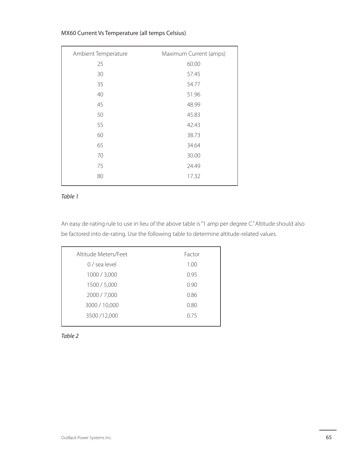| Maximum Current (amps) |
|------------------------|
| 60.00                  |
| 57.45                  |
| 54.77                  |
| 51.96                  |
| 48.99                  |
| 45.83                  |
| 42.43                  |
| 38.73                  |
| 34.64                  |
| 30.00                  |
| 24.49                  |
| 17.32                  |
|                        |

#### MX60 Current Vs Temperature (all temps Celsius)

#### Table 1

An easy de-rating rule to use in lieu of the above table is "1 amp per degree C." Altitude should also be factored into de-rating. Use the following table to determine altitude-related values.

| Altitude Meters/Feet | Factor |
|----------------------|--------|
| 0 / sea level        | 1.00   |
| 1000 / 3,000         | 0.95   |
| 1500 / 5,000         | 0.90   |
| 2000 / 7,000         | 0.86   |
| 3000 / 10,000        | 0.80   |
| 3500/12,000          | 0.75   |
|                      |        |

#### Table 2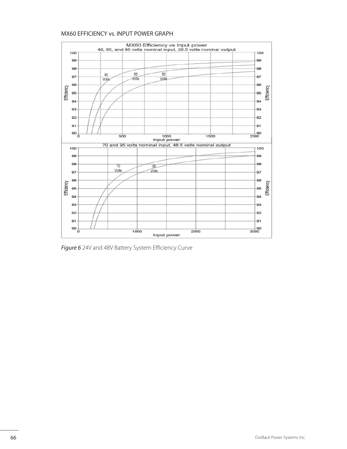#### MX60 EFFICIENCY vs. INPUT POWER GRAPH



Figure 6 24V and 48V Battery System Efficiency Curve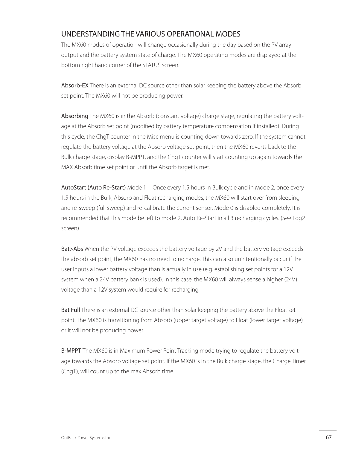## UNDERSTANDING THE VARIOUS OPERATIONAL MODES

The MX60 modes of operation will change occasionally during the day based on the PV array output and the battery system state of charge. The MX60 operating modes are displayed at the bottom right hand corner of the STATUS screen.

Absorb-EX There is an external DC source other than solar keeping the battery above the Absorb set point. The MX60 will not be producing power.

Absorbing The MX60 is in the Absorb (constant voltage) charge stage, regulating the battery voltage at the Absorb set point (modified by battery temperature compensation if installed). During this cycle, the ChgT counter in the Misc menu is counting down towards zero. If the system cannot regulate the battery voltage at the Absorb voltage set point, then the MX60 reverts back to the Bulk charge stage, display B-MPPT, and the ChgT counter will start counting up again towards the MAX Absorb time set point or until the Absorb target is met.

AutoStart (Auto Re-Start) Mode 1—Once every 1.5 hours in Bulk cycle and in Mode 2, once every 1.5 hours in the Bulk, Absorb and Float recharging modes, the MX60 will start over from sleeping and re-sweep (full sweep) and re-calibrate the current sensor. Mode 0 is disabled completely. It is recommended that this mode be left to mode 2, Auto Re-Start in all 3 recharging cycles. (See Log2 screen)

Bat>Abs When the PV voltage exceeds the battery voltage by 2V and the battery voltage exceeds the absorb set point, the MX60 has no need to recharge. This can also unintentionally occur if the user inputs a lower battery voltage than is actually in use (e.g. establishing set points for a 12V system when a 24V battery bank is used). In this case, the MX60 will always sense a higher (24V) voltage than a 12V system would require for recharging.

Bat Full There is an external DC source other than solar keeping the battery above the Float set point. The MX60 is transitioning from Absorb (upper target voltage) to Float (lower target voltage) or it will not be producing power.

B-MPPT The MX60 is in Maximum Power Point Tracking mode trying to regulate the battery voltage towards the Absorb voltage set point. If the MX60 is in the Bulk charge stage, the Charge Timer (ChgT), will count up to the max Absorb time.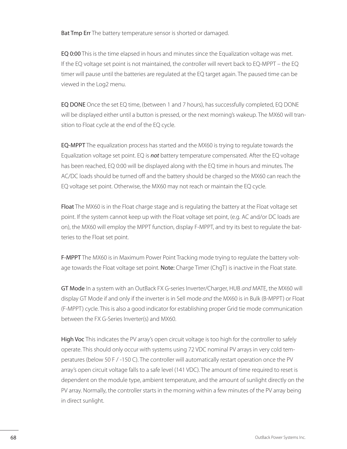Bat Tmp Err The battery temperature sensor is shorted or damaged.

EQ 0:00 This is the time elapsed in hours and minutes since the Equalization voltage was met. If the EQ voltage set point is not maintained, the controller will revert back to EQ-MPPT – the EQ timer will pause until the batteries are regulated at the EQ target again. The paused time can be viewed in the Log2 menu.

EQ DONE Once the set EQ time, (between 1 and 7 hours), has successfully completed, EQ DONE will be displayed either until a button is pressed, or the next morning's wakeup. The MX60 will transition to Float cycle at the end of the EQ cycle.

EQ-MPPT The equalization process has started and the MX60 is trying to regulate towards the Equalization voltage set point. EQ is not battery temperature compensated. After the EQ voltage has been reached, EQ 0:00 will be displayed along with the EQ time in hours and minutes. The AC/DC loads should be turned off and the battery should be charged so the MX60 can reach the EQ voltage set point. Otherwise, the MX60 may not reach or maintain the EQ cycle.

Float The MX60 is in the Float charge stage and is regulating the battery at the Float voltage set point. If the system cannot keep up with the Float voltage set point, (e.g. AC and/or DC loads are on), the MX60 will employ the MPPT function, display F-MPPT, and try its best to regulate the batteries to the Float set point.

F-MPPT The MX60 is in Maximum Power Point Tracking mode trying to regulate the battery voltage towards the Float voltage set point. Note: Charge Timer (ChgT) is inactive in the Float state.

GT Mode In a system with an OutBack FX G-series Inverter/Charger, HUB and MATE, the MX60 will display GT Mode if and only if the inverter is in Sell mode and the MX60 is in Bulk (B-MPPT) or Float (F-MPPT) cycle. This is also a good indicator for establishing proper Grid tie mode communication between the FX G-Series Inverter(s) and MX60.

High Voc This indicates the PV array's open circuit voltage is too high for the controller to safely operate. This should only occur with systems using 72 VDC nominal PV arrays in very cold temperatures (below 50 F / -150 C). The controller will automatically restart operation once the PV array's open circuit voltage falls to a safe level (141 VDC). The amount of time required to reset is dependent on the module type, ambient temperature, and the amount of sunlight directly on the PV array. Normally, the controller starts in the morning within a few minutes of the PV array being in direct sunlight.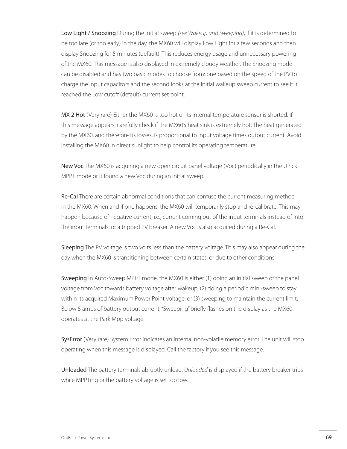Low Light / Snoozing During the initial sweep (see Wakeup and Sweeping), if it is determined to be too late (or too early) in the day, the MX60 will display Low Light for a few seconds and then display Snoozing for 5 minutes (default). This reduces energy usage and unnecessary powering of the MX60. This message is also displayed in extremely cloudy weather. The Snoozing mode can be disabled and has two basic modes to choose from: one based on the speed of the PV to charge the input capacitors and the second looks at the initial wakeup sweep current to see if it reached the Low cutoff (default) current set point.

MX 2 Hot (Very rare) Either the MX60 is too hot or its internal temperature sensor is shorted. If this message appears, carefully check if the MX60's heat sink is extremely hot. The heat generated by the MX60, and therefore its losses, is proportional to input voltage times output current. Avoid installing the MX60 in direct sunlight to help control its operating temperature.

New Voc The MX60 is acquiring a new open circuit panel voltage (Voc) periodically in the UPick MPPT mode or it found a new Voc during an initial sweep.

Re-Cal There are certain abnormal conditions that can confuse the current measuring method in the MX60. When and if one happens, the MX60 will temporarily stop and re-calibrate. This may happen because of negative current, i.e., current coming out of the input terminals instead of into the input terminals, or a tripped PV breaker. A new Voc is also acquired during a Re-Cal.

Sleeping The PV voltage is two volts less than the battery voltage. This may also appear during the day when the MX60 is transitioning between certain states, or due to other conditions.

Sweeping In Auto-Sweep MPPT mode, the MX60 is either (1) doing an initial sweep of the panel voltage from Voc towards battery voltage after wakeup, (2) doing a periodic mini-sweep to stay within its acquired Maximum Power Point voltage, or (3) sweeping to maintain the current limit. Below 5 amps of battery output current, "Sweeping" briefly flashes on the display as the MX60 operates at the Park Mpp voltage.

SysError (Very rare) System Error indicates an internal non-volatile memory error. The unit will stop operating when this message is displayed. Call the factory if you see this message.

Unloaded The battery terminals abruptly unload. Unloaded is displayed if the battery breaker trips while MPPTing or the battery voltage is set too low.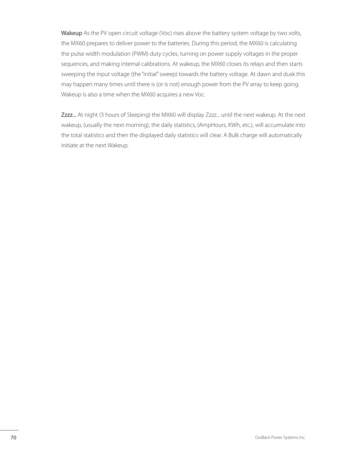Wakeup As the PV open circuit voltage (Voc) rises above the battery system voltage by two volts, the MX60 prepares to deliver power to the batteries. During this period, the MX60 is calculating the pulse width modulation (PWM) duty cycles, turning on power supply voltages in the proper sequences, and making internal calibrations. At wakeup, the MX60 closes its relays and then starts sweeping the input voltage (the "initial" sweep) towards the battery voltage. At dawn and dusk this may happen many times until there is (or is not) enough power from the PV array to keep going. Wakeup is also a time when the MX60 acquires a new Voc.

Zzzz... At night (3 hours of Sleeping) the MX60 will display Zzzz... until the next wakeup. At the next wakeup, (usually the next morning), the daily statistics, (AmpHours, KWh, etc.), will accumulate into the total statistics and then the displayed daily statistics will clear. A Bulk charge will automatically initiate at the next Wakeup.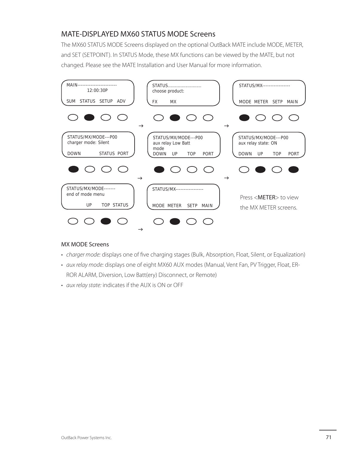## MATE-DISPLAYED MX60 STATUS MODE Screens

The MX60 STATUS MODE Screens displayed on the optional OutBack MATE include MODE, METER, and SET (SETPOINT). In STATUS Mode, these MX functions can be viewed by the MATE, but not changed. Please see the MATE Installation and User Manual for more information.



#### MX MODE Screens

- charger mode: displays one of five charging stages (Bulk, Absorption, Float, Silent, or Equalization)
- aux relay mode: displays one of eight MX60 AUX modes (Manual, Vent Fan, PV Trigger, Float, ER-ROR ALARM, Diversion, Low Batt(ery) Disconnect, or Remote)
- aux relay state: indicates if the AUX is ON or OFF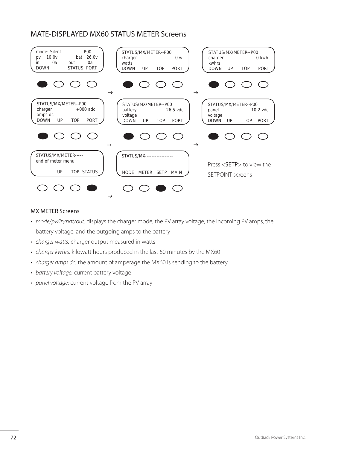## MATE-DISPLAYED MX60 STATUS METER Screens



#### MX METER Screens

- mode/pv/in/bat/out: displays the charger mode, the PV array voltage, the incoming PV amps, the battery voltage, and the outgoing amps to the battery
- charger watts: charger output measured in watts
- charger kwhrs: kilowatt hours produced in the last 60 minutes by the MX60
- charger amps dc: the amount of amperage the MX60 is sending to the battery
- battery voltage: current battery voltage
- panel voltage: current voltage from the PV array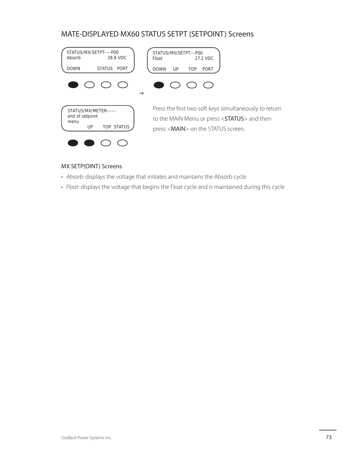## MATE-DISPLAYED MX60 STATUS SETPT (SETPOINT) Screens



#### MX SETP(OINT) Screens

- Absorb: displays the voltage that initiates and maintains the Absorb cycle
- Float: displays the voltage that begins the Float cycle and is maintained during this cycle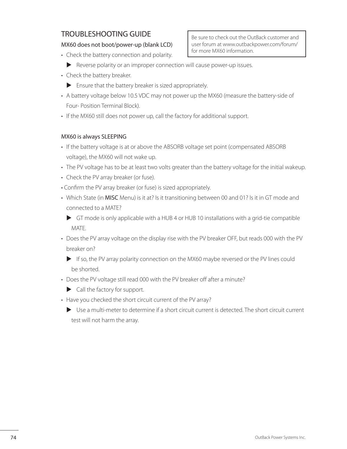## TROUBLESHOOTING GUIDE

### MX60 does not boot/power-up (blank LCD)

• Check the battery connection and polarity.

Be sure to check out the OutBack customer and user forum at www.outbackpower.com/forum/ for more MX60 information.

- $\blacktriangleright$  Reverse polarity or an improper connection will cause power-up issues.
- Check the battery breaker.
	- $\blacktriangleright$  Ensure that the battery breaker is sized appropriately.
- A battery voltage below 10.5 VDC may not power up the MX60 (measure the battery-side of Four- Position Terminal Block).
- If the MX60 still does not power up, call the factory for additional support.

### MX60 is always SLEEPING

- If the battery voltage is at or above the ABSORB voltage set point (compensated ABSORB voltage), the MX60 will not wake up.
- The PV voltage has to be at least two volts greater than the battery voltage for the initial wakeup.
- Check the PV array breaker (or fuse).
- Confirm the PV array breaker (or fuse) is sized appropriately.
- Which State (in MISC Menu) is it at? Is it transitioning between 00 and 01? Is it in GT mode and connected to a MATE?
	- X GT mode is only applicable with a HUB 4 or HUB 10 installations with a grid-tie compatible MATE.
- Does the PV array voltage on the display rise with the PV breaker OFF, but reads 000 with the PV breaker on?
	- If so, the PV array polarity connection on the MX60 maybe reversed or the PV lines could be shorted.
- Does the PV voltage still read 000 with the PV breaker off after a minute?
	- $\blacktriangleright$  Call the factory for support.
- Have you checked the short circuit current of the PV array?
	- $\blacktriangleright$  Use a multi-meter to determine if a short circuit current is detected. The short circuit current test will not harm the array.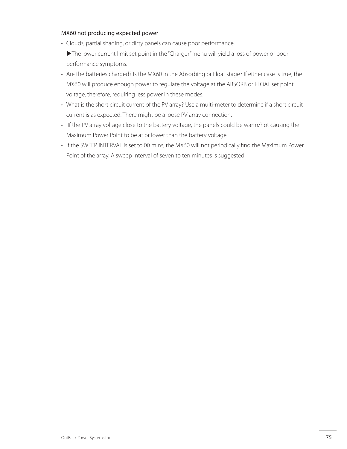#### MX60 not producing expected power

- Clouds, partial shading, or dirty panels can cause poor performance. The lower current limit set point in the "Charger" menu will yield a loss of power or poor performance symptoms.
- Are the batteries charged? Is the MX60 in the Absorbing or Float stage? If either case is true, the MX60 will produce enough power to regulate the voltage at the ABSORB or FLOAT set point voltage, therefore, requiring less power in these modes.
- What is the short circuit current of the PV array? Use a multi-meter to determine if a short circuit current is as expected. There might be a loose PV array connection.
- If the PV array voltage close to the battery voltage, the panels could be warm/hot causing the Maximum Power Point to be at or lower than the battery voltage.
- If the SWEEP INTERVAL is set to 00 mins, the MX60 will not periodically find the Maximum Power Point of the array. A sweep interval of seven to ten minutes is suggested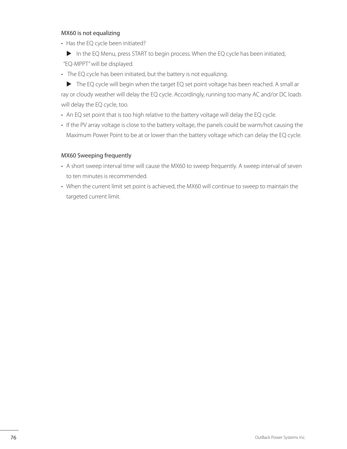### MX60 is not equalizing

- Has the EQ cycle been initiated?
- $\blacktriangleright$  In the EQ Menu, press START to begin process. When the EQ cycle has been initiated, "EQ-MPPT" will be displayed.
- The EQ cycle has been initiated, but the battery is not equalizing.

 $\triangleright$  The EQ cycle will begin when the target EQ set point voltage has been reached. A small ar ray or cloudy weather will delay the EQ cycle. Accordingly, running too many AC and/or DC loads will delay the EQ cycle, too.

- An EQ set point that is too high relative to the battery voltage will delay the EQ cycle.
- If the PV array voltage is close to the battery voltage, the panels could be warm/hot causing the Maximum Power Point to be at or lower than the battery voltage which can delay the EQ cycle.

### MX60 Sweeping frequently

- A short sweep interval time will cause the MX60 to sweep frequently. A sweep interval of seven to ten minutes is recommended.
- When the current limit set point is achieved, the MX60 will continue to sweep to maintain the targeted current limit.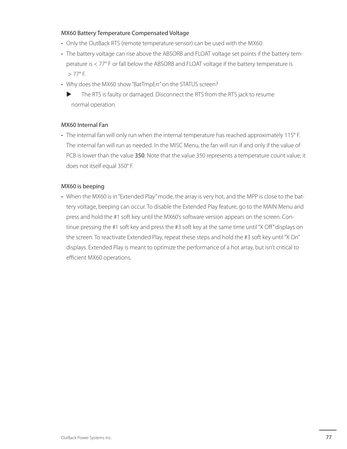### MX60 Battery Temperature Compensated Voltage

- Only the OutBack RTS (remote temperature sensor) can be used with the MX60.
- The battery voltage can rise above the ABSORB and FLOAT voltage set points if the battery temperature is < 77° F or fall below the ABSORB and FLOAT voltage if the battery temperature is  $> 77^{\circ}$  F.
- Why does the MX60 show "BatTmpErr" on the STATUS screen?
	- The RTS is faulty or damaged. Disconnect the RTS from the RTS jack to resume normal operation.

#### MX60 Internal Fan

• The internal fan will only run when the internal temperature has reached approximately 115° F. The internal fan will run as needed. In the MISC Menu, the fan will run if and only if the value of PCB is lower than the value 350. Note that the value 350 represents a temperature count value; it does not itself equal 350° F.

#### MX60 is beeping

• When the MX60 is in "Extended Play" mode, the array is very hot, and the MPP is close to the battery voltage, beeping can occur. To disable the Extended Play feature, go to the MAIN Menu and press and hold the #1 soft key until the MX60's software version appears on the screen. Continue pressing the #1 soft key and press the #3 soft key at the same time until "X Off" displays on the screen. To reactivate Extended Play, repeat these steps and hold the #3 soft key until "X On" displays. Extended Play is meant to optimize the performance of a hot array, but isn't critical to efficient MX60 operations.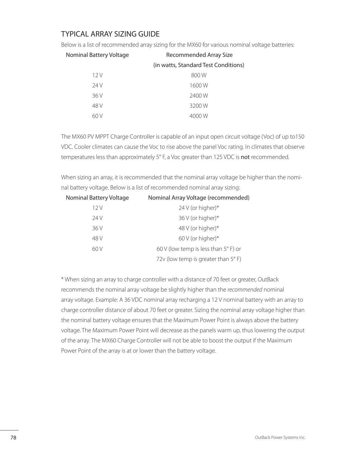# TYPICAL ARRAY SIZING GUIDE

| Nominal Battery Voltage | Recommended Array Size               |
|-------------------------|--------------------------------------|
|                         | (in watts, Standard Test Conditions) |
| 12V                     | 800 W                                |
| 24 V                    | 1600 W                               |
| 36V                     | 2400 W                               |
| 48 V                    | 3200W                                |
| 60 V                    | 4000 W                               |

Below is a list of recommended array sizing for the MX60 for various nominal voltage batteries:

The MX60 PV MPPT Charge Controller is capable of an input open circuit voltage (Voc) of up to150 VDC. Cooler climates can cause the Voc to rise above the panel Voc rating. In climates that observe temperatures less than approximately 5° F, a Voc greater than 125 VDC is not recommended.

When sizing an array, it is recommended that the nominal array voltage be higher than the nominal battery voltage. Below is a list of recommended nominal array sizing:

| Nominal Battery Voltage | Nominal Array Voltage (recommended) |
|-------------------------|-------------------------------------|
| 12 V                    | 24 V (or higher)*                   |
| 24 V                    | 36 V (or higher)*                   |
| 36V                     | 48 V (or higher)*                   |
| 48 V                    | 60 V (or higher)*                   |
| 60 V                    | 60 V (low temp is less than 5°F) or |
|                         | 72v (low temp is greater than 5°F)  |

\* When sizing an array to charge controller with a distance of 70 feet or greater, OutBack recommends the nominal array voltage be slightly higher than the recommended nominal array voltage. Example: A 36 VDC nominal array recharging a 12 V nominal battery with an array to charge controller distance of about 70 feet or greater. Sizing the nominal array voltage higher than the nominal battery voltage ensures that the Maximum Power Point is always above the battery voltage. The Maximum Power Point will decrease as the panels warm up, thus lowering the output of the array. The MX60 Charge Controller will not be able to boost the output if the Maximum Power Point of the array is at or lower than the battery voltage.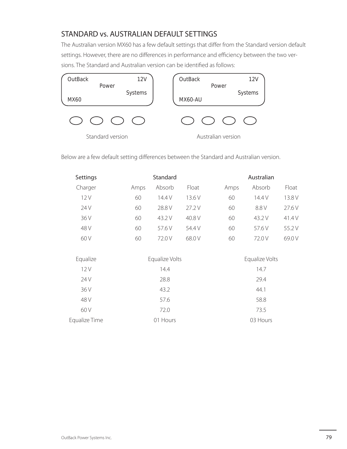## STANDARD vs. AUSTRALIAN DEFAULT SETTINGS

The Australian version MX60 has a few default settings that differ from the Standard version default settings. However, there are no differences in performance and efficiency between the two versions. The Standard and Australian version can be identified as follows:



Below are a few default setting differences between the Standard and Australian version.

| Settings      |      | Standard       |        |      | Australian     |        |
|---------------|------|----------------|--------|------|----------------|--------|
| Charger       | Amps | Absorb         | Float  | Amps | Absorb         | Float  |
| 12V           | 60   | 14.4 V         | 13.6 V | 60   | 14.4 V         | 13.8 V |
| 24 V          | 60   | 28.8 V         | 27.2 V | 60   | 8.8 V          | 27.6 V |
| 36 V          | 60   | 43.2 V         | 40.8 V | 60   | 43.2 V         | 41.4 V |
| 48 V          | 60   | 57.6 V         | 54.4 V | 60   | 57.6 V         | 55.2V  |
| 60 V          | 60   | 72.0V          | 68.0V  | 60   | 72.0 V         | 69.0V  |
|               |      |                |        |      |                |        |
| Equalize      |      | Equalize Volts |        |      | Equalize Volts |        |
| 12V           |      | 14.4           |        |      | 14.7           |        |
| 24 V          |      | 28.8           |        |      | 29.4           |        |
| 36 V          |      | 43.2           |        |      | 44.1           |        |
| 48 V          |      | 57.6           |        |      | 58.8           |        |
| 60 V          |      | 72.0           |        |      | 73.5           |        |
| Equalize Time |      | 01 Hours       |        |      | 03 Hours       |        |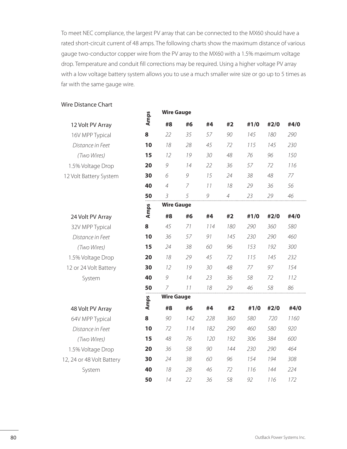To meet NEC compliance, the largest PV array that can be connected to the MX60 should have a rated short-circuit current of 48 amps. The following charts show the maximum distance of various gauge two-conductor copper wire from the PV array to the MX60 with a 1.5% maximum voltage drop. Temperature and conduit fill corrections may be required. Using a higher voltage PV array with a low voltage battery system allows you to use a much smaller wire size or go up to 5 times as far with the same gauge wire.

#### Wire Distance Chart

|                           | <b>Amps</b> | <b>Wire Gauge</b> |                |     |                |      |      |      |  |
|---------------------------|-------------|-------------------|----------------|-----|----------------|------|------|------|--|
| 12 Volt PV Array          |             | #8                | #6             | #4  | #2             | #1/0 | #2/0 | #4/0 |  |
| 16V MPP Typical           | 8           | 22                | 35             | 57  | 90             | 145  | 180  | 290  |  |
| Distance in Feet          | 10          | 18                | 28             | 45  | 72             | 115  | 145  | 230  |  |
| (Two Wires)               | 15          | 12                | 19             | 30  | 48             | 76   | 96   | 150  |  |
| 1.5% Voltage Drop         | 20          | 9                 | 14             | 22  | 36             | 57   | 72   | 116  |  |
| 12 Volt Battery System    | 30          | 6                 | 9              | 15  | 24             | 38   | 48   | 77   |  |
|                           | 40          | $\overline{4}$    | $\overline{Z}$ | 11  | 18             | 29   | 36   | 56   |  |
|                           | 50          | 3                 | 5              | 9   | $\overline{A}$ | 23   | 29   | 46   |  |
|                           | Amps        | <b>Wire Gauge</b> |                |     |                |      |      |      |  |
| 24 Volt PV Array          |             | #8                | #6             | #4  | #2             | #1/0 | #2/0 | #4/0 |  |
| 32V MPP Typical           | 8           | 45                | 71             | 114 | 180            | 290  | 360  | 580  |  |
| Distance in Feet          | 10          | 36                | 57             | 91  | 145            | 230  | 290  | 460  |  |
| (Two Wires)               | 15          | 24                | 38             | 60  | 96             | 153  | 192  | 300  |  |
| 1.5% Voltage Drop         | 20          | 18                | 29             | 45  | 72             | 115  | 145  | 232  |  |
| 12 or 24 Volt Battery     | 30          | 12                | 19             | 30  | 48             | 77   | 97   | 154  |  |
| System                    | 40          | 9                 | 14             | 23  | 36             | 58   | 72   | 112  |  |
|                           | 50          | 7                 | 11             | 18  | 29             | 46   | 58   | 86   |  |
|                           | Amps        | <b>Wire Gauge</b> |                |     |                |      |      |      |  |
| 48 Volt PV Array          |             | #8                | #6             | #4  | #2             | #1/0 | #2/0 | #4/0 |  |
| 64V MPP Typical           | 8           | 90                | 142            | 228 | 360            | 580  | 720  | 1160 |  |
| Distance in Feet          | 10          | 72                | 114            | 182 | 290            | 460  | 580  | 920  |  |
| (Two Wires)               | 15          | 48                | 76             | 120 | 192            | 306  | 384  | 600  |  |
| 1.5% Voltage Drop         | 20          | 36                | 58             | 90  | 144            | 230  | 290  | 464  |  |
| 12, 24 or 48 Volt Battery | 30          | 24                | 38             | 60  | 96             | 154  | 194  | 308  |  |
| System                    | 40          | 18                | 28             | 46  | 72             | 116  | 144  | 224  |  |
|                           | 50          | 14                | 22             | 36  | 58             | 92   | 116  | 172  |  |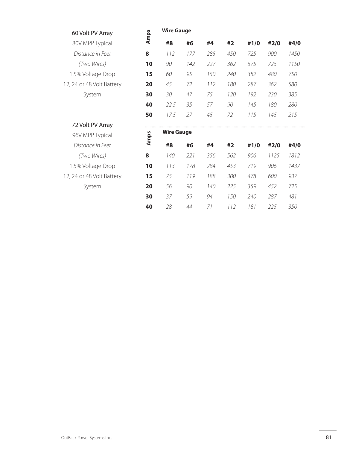| 60 Volt PV Array          | Amps | <b>Wire Gauge</b> |     |     |     |      |      |      |
|---------------------------|------|-------------------|-----|-----|-----|------|------|------|
| 80V MPP Typical           |      | #8                | #6  | #4  | #2  | #1/0 | #2/0 | #4/0 |
| Distance in Feet          | 8    | 112               | 177 | 285 | 450 | 725  | 900  | 1450 |
| (Two Wires)               | 10   | 90                | 142 | 227 | 362 | 575  | 725  | 1150 |
| 1.5% Voltage Drop         | 15   | 60                | 95  | 150 | 240 | 382  | 480  | 750  |
| 12, 24 or 48 Volt Battery | 20   | 45                | 72  | 112 | 180 | 287  | 362  | 580  |
| System                    | 30   | 30                | 47  | 75  | 120 | 192  | 230  | 385  |
|                           | 40   | 22.5              | 35  | 57  | 90  | 145  | 180  | 280  |
|                           | 50   | 17.5              | 27  | 45  | 72  | 115  | 145  | 215  |
|                           |      |                   |     |     |     |      |      |      |
| 72 Volt PV Array          |      |                   |     |     |     |      |      |      |
| 96V MPP Typical           |      | <b>Wire Gauge</b> |     |     |     |      |      |      |
| Distance in Feet          | Amps | #8                | #6  | #4  | #2  | #1/0 | #2/0 | #4/0 |
| (Two Wires)               | 8    | 140               | 221 | 356 | 562 | 906  | 1125 | 1812 |
| 1.5% Voltage Drop         | 10   | 113               | 178 | 284 | 453 | 719  | 906  | 1437 |
| 12, 24 or 48 Volt Battery | 15   | 75                | 119 | 188 | 300 | 478  | 600  | 937  |
| System                    | 20   | 56                | 90  | 140 | 225 | 359  | 452  | 725  |
|                           | 30   | 37                | 59  | 94  | 150 | 240  | 287  | 481  |
|                           | 40   | 28                | 44  | 71  | 112 | 181  | 225  | 350  |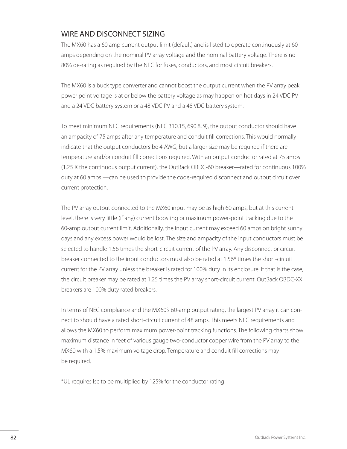## WIRE AND DISCONNECT SIZING

The MX60 has a 60 amp current output limit (default) and is listed to operate continuously at 60 amps depending on the nominal PV array voltage and the nominal battery voltage. There is no 80% de-rating as required by the NEC for fuses, conductors, and most circuit breakers.

The MX60 is a buck type converter and cannot boost the output current when the PV array peak power point voltage is at or below the battery voltage as may happen on hot days in 24 VDC PV and a 24 VDC battery system or a 48 VDC PV and a 48 VDC battery system.

To meet minimum NEC requirements (NEC 310.15, 690.8, 9), the output conductor should have an ampacity of 75 amps after any temperature and conduit fill corrections. This would normally indicate that the output conductors be 4 AWG, but a larger size may be required if there are temperature and/or conduit fill corrections required. With an output conductor rated at 75 amps (1.25 X the continuous output current), the OutBack OBDC-60 breaker—rated for continuous 100% duty at 60 amps —can be used to provide the code-required disconnect and output circuit over current protection.

The PV array output connected to the MX60 input may be as high 60 amps, but at this current level, there is very little (if any) current boosting or maximum power-point tracking due to the 60-amp output current limit. Additionally, the input current may exceed 60 amps on bright sunny days and any excess power would be lost. The size and ampacity of the input conductors must be selected to handle 1.56 times the short-circuit current of the PV array. Any disconnect or circuit breaker connected to the input conductors must also be rated at 1.56\* times the short-circuit current for the PV array unless the breaker is rated for 100% duty in its enclosure. If that is the case, the circuit breaker may be rated at 1.25 times the PV array short-circuit current. OutBack OBDC-XX breakers are 100% duty rated breakers.

In terms of NEC compliance and the MX60's 60-amp output rating, the largest PV array it can connect to should have a rated short-circuit current of 48 amps. This meets NEC requirements and allows the MX60 to perform maximum power-point tracking functions. The following charts show maximum distance in feet of various gauge two-conductor copper wire from the PV array to the MX60 with a 1.5% maximum voltage drop. Temperature and conduit fill corrections may be required.

\*UL requires Isc to be multiplied by 125% for the conductor rating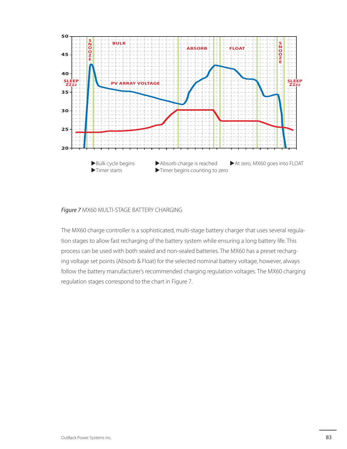

#### Figure 7 MX60 MULTI-STAGE BATTERY CHARGING

The MX60 charge controller is a sophisticated, multi-stage battery charger that uses several regulation stages to allow fast recharging of the battery system while ensuring a long battery life. This process can be used with both sealed and non-sealed batteries. The MX60 has a preset recharging voltage set points (Absorb & Float) for the selected nominal battery voltage, however, always follow the battery manufacturer's recommended charging regulation voltages. The MX60 charging regulation stages correspond to the chart in Figure 7.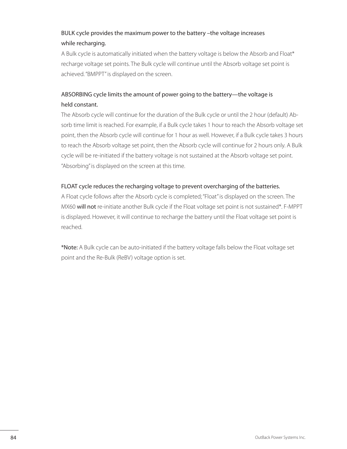## BULK cycle provides the maximum power to the battery –the voltage increases while recharging.

A Bulk cycle is automatically initiated when the battery voltage is below the Absorb and Float\* recharge voltage set points. The Bulk cycle will continue until the Absorb voltage set point is achieved. "BMPPT" is displayed on the screen.

## ABSORBING cycle limits the amount of power going to the battery—the voltage is held constant.

The Absorb cycle will continue for the duration of the Bulk cycle or until the 2 hour (default) Absorb time limit is reached. For example, if a Bulk cycle takes 1 hour to reach the Absorb voltage set point, then the Absorb cycle will continue for 1 hour as well. However, if a Bulk cycle takes 3 hours to reach the Absorb voltage set point, then the Absorb cycle will continue for 2 hours only. A Bulk cycle will be re-initiated if the battery voltage is not sustained at the Absorb voltage set point. "Absorbing" is displayed on the screen at this time.

### FLOAT cycle reduces the recharging voltage to prevent overcharging of the batteries.

A Float cycle follows after the Absorb cycle is completed; "Float" is displayed on the screen. The MX60 will not re-initiate another Bulk cycle if the Float voltage set point is not sustained\*. F-MPPT is displayed. However, it will continue to recharge the battery until the Float voltage set point is reached.

\*Note: A Bulk cycle can be auto-initiated if the battery voltage falls below the Float voltage set point and the Re-Bulk (ReBV) voltage option is set.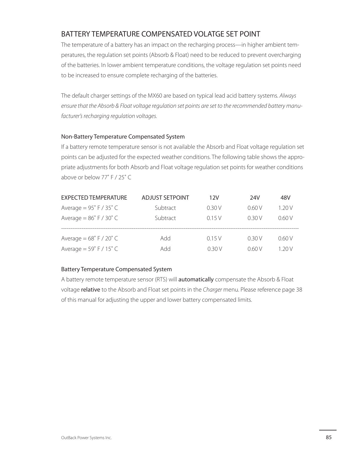## BATTERY TEMPERATURE COMPENSATED VOLATGE SET POINT

The temperature of a battery has an impact on the recharging process—in higher ambient temperatures, the regulation set points (Absorb & Float) need to be reduced to prevent overcharging of the batteries. In lower ambient temperature conditions, the voltage regulation set points need to be increased to ensure complete recharging of the batteries.

The default charger settings of the MX60 are based on typical lead acid battery systems. Always ensure that the Absorb & Float voltage regulation set points are set to the recommended battery manufacturer's recharging regulation voltages.

### Non-Battery Temperature Compensated System

If a battery remote temperature sensor is not available the Absorb and Float voltage regulation set points can be adjusted for the expected weather conditions. The following table shows the appropriate adjustments for both Absorb and Float voltage regulation set points for weather conditions above or below 77˚ F / 25˚ C

| EXPECTED TEMPERATURE                        | <b>ADJUST SETPOINT</b> | 12V   | 24V    | 48V    |
|---------------------------------------------|------------------------|-------|--------|--------|
| Average = $95^{\circ}$ F / $35^{\circ}$ C   | Subtract               | 0.30V | 0.60 V | 1.20V  |
| Average $= 86°$ F / 30 $°$ C                | Subtract               | 0.15V | 030 V  | 0.60 V |
|                                             |                        |       |        |        |
| Average $= 68°$ F / 20 $°$ C                | Add                    | 0.15V | 0.30 V | 0.60 V |
| Average $=$ 59 $\degree$ F / 15 $\degree$ C | hhA                    | 030 V | 0.60 V | l 20 V |

### Battery Temperature Compensated System

A battery remote temperature sensor (RTS) will **automatically** compensate the Absorb & Float voltage relative to the Absorb and Float set points in the Charger menu. Please reference page 38 of this manual for adjusting the upper and lower battery compensated limits.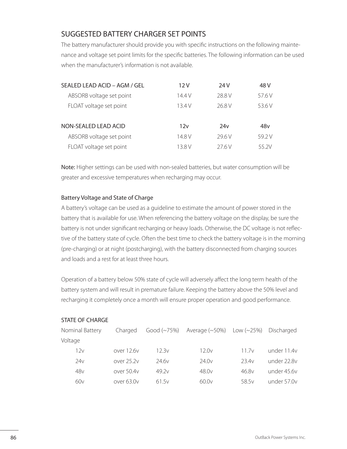# SUGGESTED BATTERY CHARGER SET POINTS

The battery manufacturer should provide you with specific instructions on the following maintenance and voltage set point limits for the specific batteries. The following information can be used when the manufacturer's information is not available.

| SEALED LEAD ACID - AGM / GEL | 12 V   | 24 V   | 48 V   |
|------------------------------|--------|--------|--------|
| ABSORB voltage set point     | 14.4 V | 28.8V  | 57.6 V |
| FLOAT voltage set point      | 13.4 V | 26.8 V | 53.6 V |
|                              |        |        |        |
| NON-SEALED LEAD ACID         | 12v    | 24v    | 48v    |
| ABSORB voltage set point     | 14.8 V | 29.6 V | 59.2 V |
| FLOAT voltage set point      | 13.8 V | 27.6 V | 55.2V  |

Note: Higher settings can be used with non-sealed batteries, but water consumption will be greater and excessive temperatures when recharging may occur.

### Battery Voltage and State of Charge

A battery's voltage can be used as a guideline to estimate the amount of power stored in the battery that is available for use. When referencing the battery voltage on the display, be sure the battery is not under significant recharging or heavy loads. Otherwise, the DC voltage is not reflective of the battery state of cycle. Often the best time to check the battery voltage is in the morning (pre-charging) or at night (postcharging), with the battery disconnected from charging sources and loads and a rest for at least three hours.

Operation of a battery below 50% state of cycle will adversely affect the long term health of the battery system and will result in premature failure. Keeping the battery above the 50% level and recharging it completely once a month will ensure proper operation and good performance.

| <b>JIALL VI LIANUL</b> |                        |             |                |                   |                         |
|------------------------|------------------------|-------------|----------------|-------------------|-------------------------|
| Nominal Battery        | Charged                | Good (~75%) | Average (~50%) | Low (~25%)        | Discharged              |
| Voltage                |                        |             |                |                   |                         |
| 12v                    | over 12.6 <sub>v</sub> | 12.3v       | 12.0v          | 11.7v             | under 11.4 <sub>v</sub> |
| 24v                    | over $25.2v$           | 24.6v       | 24.0v          | 23.4v             | under 22.8v             |
| 48v                    | over 50.4y             | 49.2v       | 48.0v          | 46.8v             | under 45.6 <sub>v</sub> |
| 60v                    | over 63.0 <sub>v</sub> | 61.5v       | 60.0v          | 58.5 <sub>v</sub> | under 57.0 <sub>v</sub> |

## STATE OF CHARGE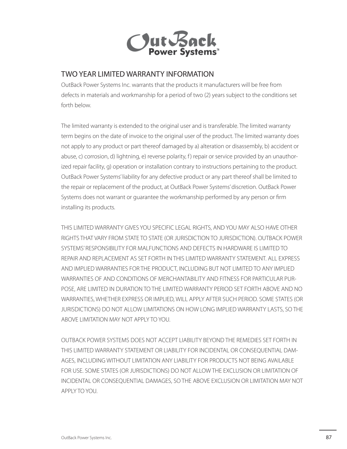

## TWO YEAR LIMITED WARRANTY INFORMATION

OutBack Power Systems Inc. warrants that the products it manufacturers will be free from defects in materials and workmanship for a period of two (2) years subject to the conditions set forth below.

The limited warranty is extended to the original user and is transferable. The limited warranty term begins on the date of invoice to the original user of the product. The limited warranty does not apply to any product or part thereof damaged by a) alteration or disassembly, b) accident or abuse, c) corrosion, d) lightning, e) reverse polarity, f) repair or service provided by an unauthorized repair facility, g) operation or installation contrary to instructions pertaining to the product. OutBack Power Systems' liability for any defective product or any part thereof shall be limited to the repair or replacement of the product, at OutBack Power Systems' discretion. OutBack Power Systems does not warrant or quarantee the workmanship performed by any person or firm installing its products.

THIS LIMITED WARRANTY GIVES YOU SPECIFIC LEGAL RIGHTS, AND YOU MAY ALSO HAVE OTHER RIGHTS THAT VARY FROM STATE TO STATE (OR JURISDICTION TO JURISDICTION). OUTBACK POWER SYSTEMS' RESPONSIBILITY FOR MALFUNCTIONS AND DEFECTS IN HARDWARE IS LIMITED TO REPAIR AND REPLACEMENT AS SET FORTH IN THIS LIMITED WARRANTY STATEMENT. ALL EXPRESS AND IMPLIED WARRANTIES FOR THE PRODUCT, INCLUDING BUT NOT LIMITED TO ANY IMPLIED WARRANTIES OF AND CONDITIONS OF MERCHANTABILITY AND FITNESS FOR PARTICULAR PUR-POSE, ARE LIMITED IN DURATION TO THE LIMITED WARRANTY PERIOD SET FORTH ABOVE AND NO WARRANTIES, WHETHER EXPRESS OR IMPLIED, WILL APPLY AFTER SUCH PERIOD. SOME STATES (OR JURISDICTIONS) DO NOT ALLOW LIMITATIONS ON HOW LONG IMPLIED WARRANTY LASTS, SO THE ABOVE LIMITATION MAY NOT APPLY TO YOU.

OUTBACK POWER SYSTEMS DOES NOT ACCEPT LIABILITY BEYOND THE REMEDIES SET FORTH IN THIS LIMITED WARRANTY STATEMENT OR LIABILITY FOR INCIDENTAL OR CONSEQUENTIAL DAM-AGES, INCLUDING WITHOUT LIMITATION ANY LIABILITY FOR PRODUCTS NOT BEING AVAILABLE FOR USE. SOME STATES (OR JURISDICTIONS) DO NOT ALLOW THE EXCLUSION OR LIMITATION OF INCIDENTAL OR CONSEQUENTIAL DAMAGES, SO THE ABOVE EXCLUSION OR LIMITATION MAY NOT APPLY TO YOU.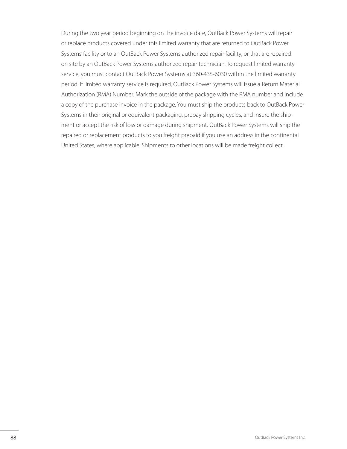During the two year period beginning on the invoice date, OutBack Power Systems will repair or replace products covered under this limited warranty that are returned to OutBack Power Systems' facility or to an OutBack Power Systems authorized repair facility, or that are repaired on site by an OutBack Power Systems authorized repair technician. To request limited warranty service, you must contact OutBack Power Systems at 360-435-6030 within the limited warranty period. If limited warranty service is required, OutBack Power Systems will issue a Return Material Authorization (RMA) Number. Mark the outside of the package with the RMA number and include a copy of the purchase invoice in the package. You must ship the products back to OutBack Power Systems in their original or equivalent packaging, prepay shipping cycles, and insure the shipment or accept the risk of loss or damage during shipment. OutBack Power Systems will ship the repaired or replacement products to you freight prepaid if you use an address in the continental United States, where applicable. Shipments to other locations will be made freight collect.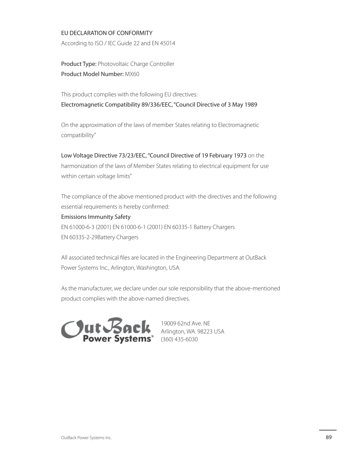#### EU DECLARATION OF CONFORMITY

According to ISO / IEC Guide 22 and EN 45014

Product Type: Photovoltaic Charge Controller Product Model Number: MX60

This product complies with the following EU directives: Electromagnetic Compatibility 89/336/EEC, "Council Directive of 3 May 1989

On the approximation of the laws of member States relating to Electromagnetic compatibility"

Low Voltage Directive 73/23/EEC, "Council Directive of 19 February 1973 on the harmonization of the laws of Member States relating to electrical equipment for use within certain voltage limits"

The compliance of the above mentioned product with the directives and the following essential requirements is hereby confirmed:

#### Emissions Immunity Safety

EN 61000-6-3 (2001) EN 61000-6-1 (2001) EN 60335-1 Battery Chargers EN 60335-2-29Battery Chargers

All associated technical files are located in the Engineering Department at OutBack Power Systems Inc., Arlington, Washington, USA.

As the manufacturer, we declare under our sole responsibility that the above-mentioned product complies with the above-named directives.

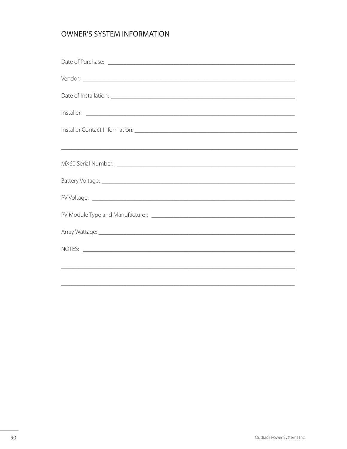# **OWNER'S SYSTEM INFORMATION**

| NOTES: La contratte de la contratte de la contratte de la contratte de la contratte de la contratte de la contratte de la contratte de la contratte de la contratte de la contratte de la contratte de la contratte de la cont |
|--------------------------------------------------------------------------------------------------------------------------------------------------------------------------------------------------------------------------------|
|                                                                                                                                                                                                                                |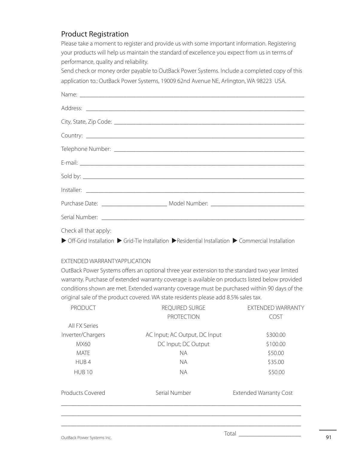## Product Registration

Please take a moment to register and provide us with some important information. Registering your products will help us maintain the standard of excellence you expect from us in terms of performance, quality and reliability.

Send check or money order payable to OutBack Power Systems. Include a completed copy of this application to.: OutBack Power Systems, 19009 62nd Avenue NE, Arlington, WA 98223 USA.

| Check all that apply: | • Off-Grid Installation • Grid-Tie Installation • Residential Installation • Commercial Installation |
|-----------------------|------------------------------------------------------------------------------------------------------|

### EXTENDED WARRANTYAPPLICATION

OutBack Power Systems offers an optional three year extension to the standard two year limited warranty. Purchase of extended warranty coverage is available on products listed below provided conditions shown are met. Extended warranty coverage must be purchased within 90 days of the original sale of the product covered. WA state residents please add 8.5% sales tax.

| <b>PRODUCT</b>          | REQUIRED SURGE                | EXTENDED WARRANTY             |
|-------------------------|-------------------------------|-------------------------------|
|                         | <b>PROTECTION</b>             | COST                          |
| All FX Series           |                               |                               |
| Inverter/Chargers       | AC Input; AC Output, DC Input | \$300.00                      |
| MX60                    | DC Input; DC Output           | \$100.00                      |
| <b>MATE</b>             | NA.                           | \$50.00                       |
| HUB4                    | <b>NA</b>                     | \$35.00                       |
| <b>HUB 10</b>           | <b>NA</b>                     | \$50.00                       |
| <b>Products Covered</b> | Serial Number                 | <b>Extended Warranty Cost</b> |
|                         |                               |                               |

\_\_\_\_\_\_\_\_\_\_\_\_\_\_\_\_\_\_\_\_\_\_\_\_\_\_\_\_\_\_\_\_\_\_\_\_\_\_\_\_\_\_\_\_\_\_\_\_\_\_\_\_\_\_\_\_\_\_\_\_\_\_\_\_\_\_\_\_\_\_\_\_\_\_\_\_\_